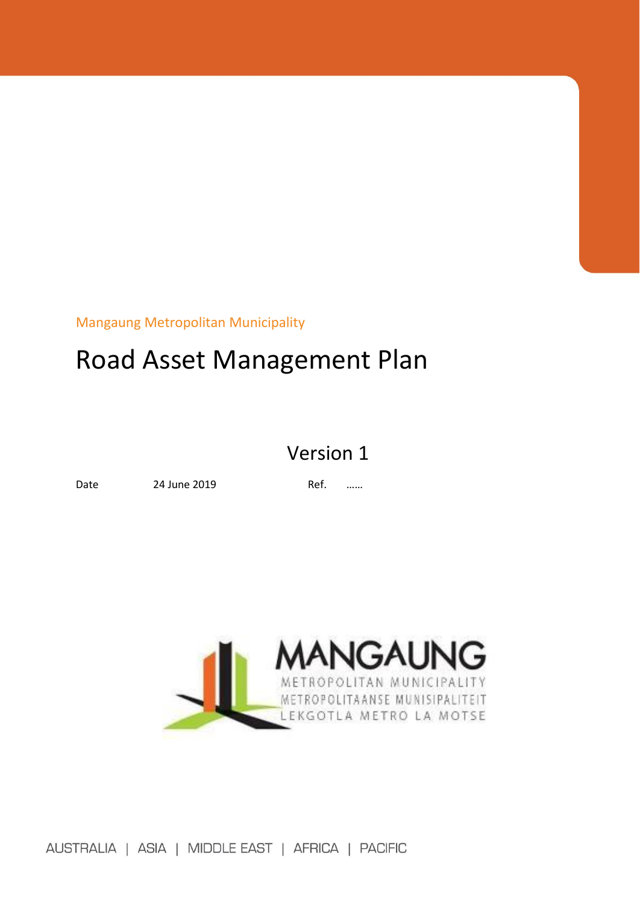Mangaung Metropolitan Municipality

# Road Asset Management Plan

## Version 1

Date 24 June 2019 Ref. ……



AUSTRALIA | ASIA | MIDDLE EAST | AFRICA | PACIFIC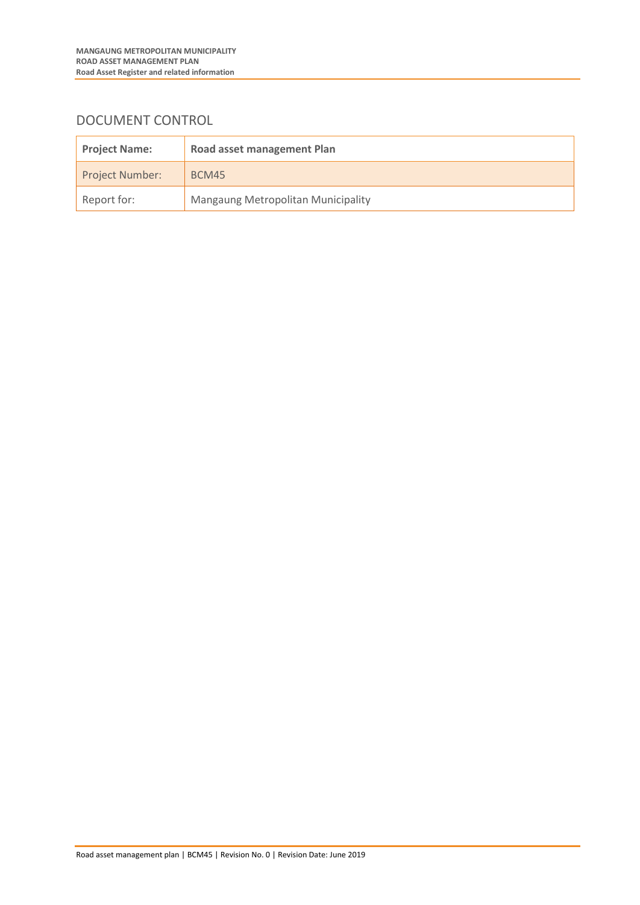## DOCUMENT CONTROL

| <b>Project Name:</b>   | Road asset management Plan                |
|------------------------|-------------------------------------------|
| <b>Project Number:</b> | BCM45                                     |
| Report for:            | <b>Mangaung Metropolitan Municipality</b> |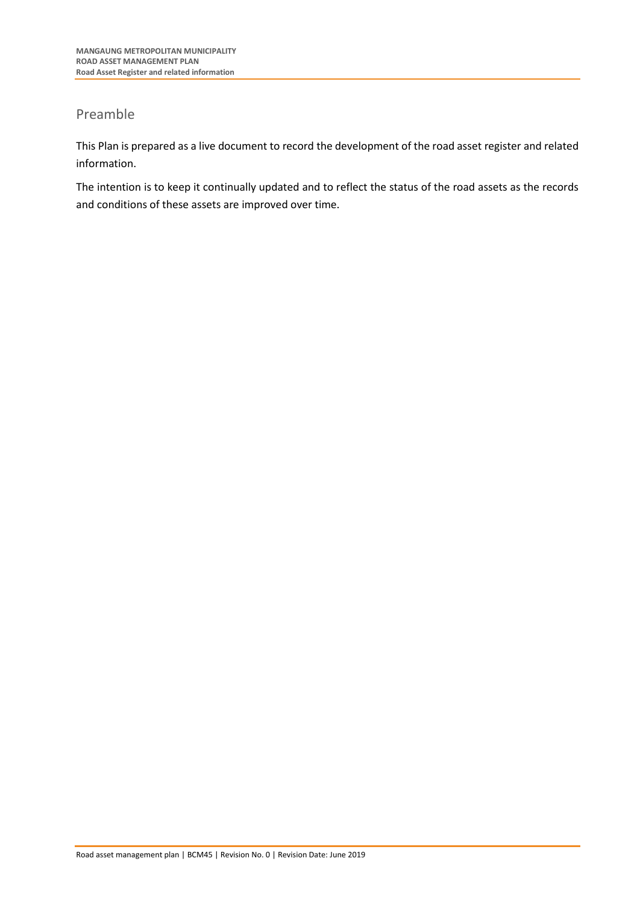## Preamble

This Plan is prepared as a live document to record the development of the road asset register and related information.

The intention is to keep it continually updated and to reflect the status of the road assets as the records and conditions of these assets are improved over time.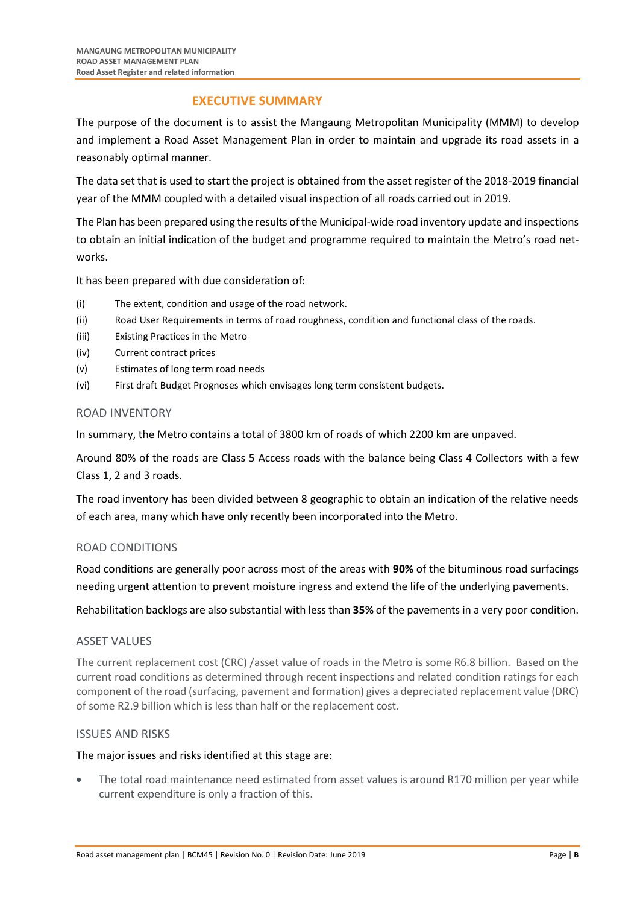## **EXECUTIVE SUMMARY**

The purpose of the document is to assist the Mangaung Metropolitan Municipality (MMM) to develop and implement a Road Asset Management Plan in order to maintain and upgrade its road assets in a reasonably optimal manner.

The data set that is used to start the project is obtained from the asset register of the 2018-2019 financial year of the MMM coupled with a detailed visual inspection of all roads carried out in 2019.

The Plan has been prepared using the results of the Municipal-wide road inventory update and inspections to obtain an initial indication of the budget and programme required to maintain the Metro's road networks.

It has been prepared with due consideration of:

- (i) The extent, condition and usage of the road network.
- (ii) Road User Requirements in terms of road roughness, condition and functional class of the roads.
- (iii) Existing Practices in the Metro
- (iv) Current contract prices
- (v) Estimates of long term road needs
- (vi) First draft Budget Prognoses which envisages long term consistent budgets.

### ROAD INVENTORY

In summary, the Metro contains a total of 3800 km of roads of which 2200 km are unpaved.

Around 80% of the roads are Class 5 Access roads with the balance being Class 4 Collectors with a few Class 1, 2 and 3 roads.

The road inventory has been divided between 8 geographic to obtain an indication of the relative needs of each area, many which have only recently been incorporated into the Metro.

## ROAD CONDITIONS

Road conditions are generally poor across most of the areas with **90%** of the bituminous road surfacings needing urgent attention to prevent moisture ingress and extend the life of the underlying pavements.

Rehabilitation backlogs are also substantial with less than **35%** of the pavements in a very poor condition.

#### ASSET VALUES

The current replacement cost (CRC) /asset value of roads in the Metro is some R6.8 billion. Based on the current road conditions as determined through recent inspections and related condition ratings for each component of the road (surfacing, pavement and formation) gives a depreciated replacement value (DRC) of some R2.9 billion which is less than half or the replacement cost.

#### ISSUES AND RISKS

#### The major issues and risks identified at this stage are:

The total road maintenance need estimated from asset values is around R170 million per year while current expenditure is only a fraction of this.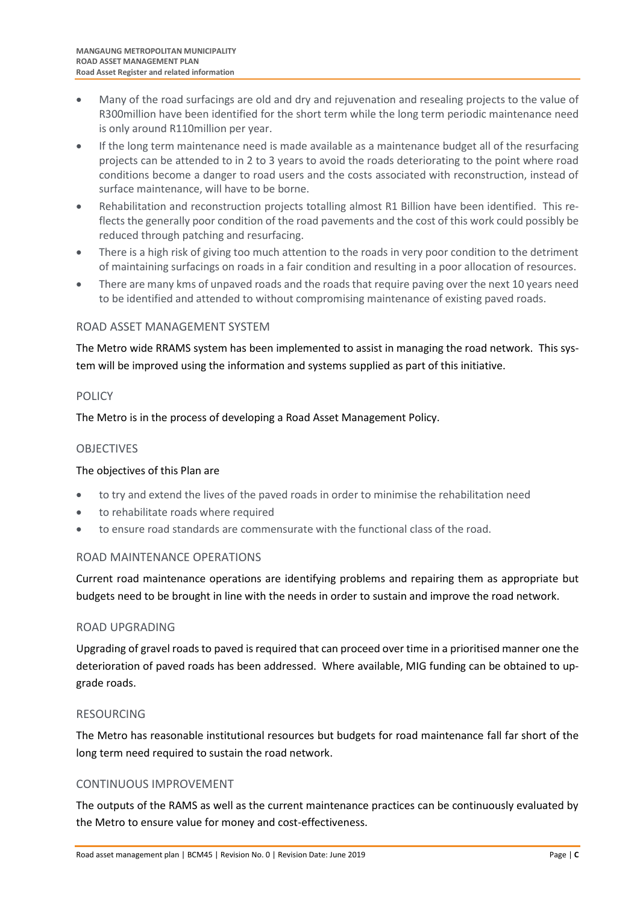- Many of the road surfacings are old and dry and rejuvenation and resealing projects to the value of R300million have been identified for the short term while the long term periodic maintenance need is only around R110million per year.
- If the long term maintenance need is made available as a maintenance budget all of the resurfacing projects can be attended to in 2 to 3 years to avoid the roads deteriorating to the point where road conditions become a danger to road users and the costs associated with reconstruction, instead of surface maintenance, will have to be borne.
- Rehabilitation and reconstruction projects totalling almost R1 Billion have been identified. This reflects the generally poor condition of the road pavements and the cost of this work could possibly be reduced through patching and resurfacing.
- There is a high risk of giving too much attention to the roads in very poor condition to the detriment of maintaining surfacings on roads in a fair condition and resulting in a poor allocation of resources.
- There are many kms of unpaved roads and the roads that require paving over the next 10 years need to be identified and attended to without compromising maintenance of existing paved roads.

## ROAD ASSET MANAGEMENT SYSTEM

The Metro wide RRAMS system has been implemented to assist in managing the road network. This system will be improved using the information and systems supplied as part of this initiative.

### **POLICY**

The Metro is in the process of developing a Road Asset Management Policy.

### OBJECTIVES

#### The objectives of this Plan are

- to try and extend the lives of the paved roads in order to minimise the rehabilitation need
- to rehabilitate roads where required
- to ensure road standards are commensurate with the functional class of the road.

#### ROAD MAINTENANCE OPERATIONS

Current road maintenance operations are identifying problems and repairing them as appropriate but budgets need to be brought in line with the needs in order to sustain and improve the road network.

#### ROAD UPGRADING

Upgrading of gravel roads to paved is required that can proceed over time in a prioritised manner one the deterioration of paved roads has been addressed. Where available, MIG funding can be obtained to upgrade roads.

#### RESOURCING

The Metro has reasonable institutional resources but budgets for road maintenance fall far short of the long term need required to sustain the road network.

#### CONTINUOUS IMPROVEMENT

The outputs of the RAMS as well as the current maintenance practices can be continuously evaluated by the Metro to ensure value for money and cost-effectiveness.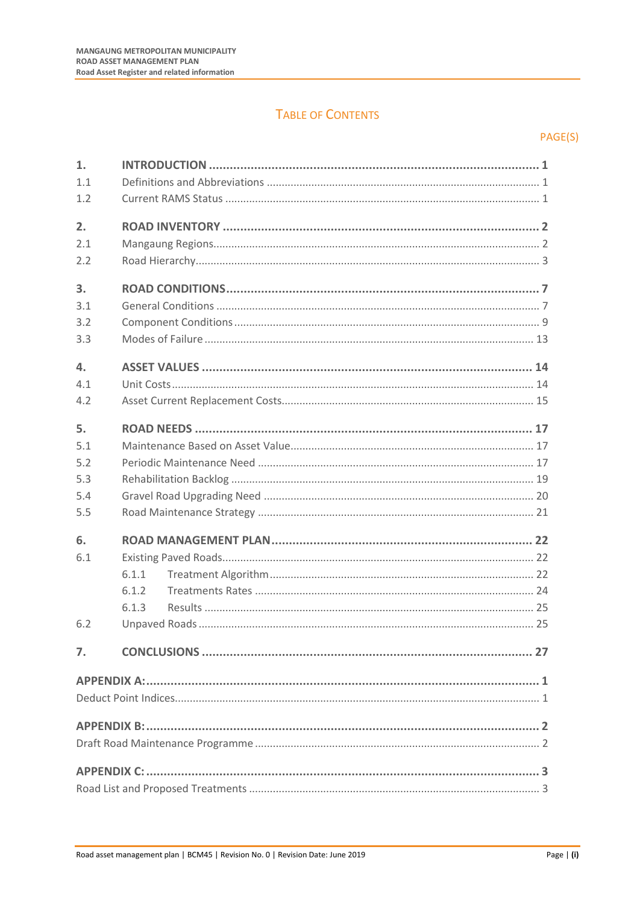## **TABLE OF CONTENTS**

## PAGE(S)

| 1.               |                         |
|------------------|-------------------------|
| 1.1              |                         |
| 1.2              |                         |
| 2.               |                         |
| 2.1              |                         |
| 2.2              |                         |
| 3.               |                         |
| 3.1              |                         |
| 3.2              |                         |
| 3.3              |                         |
| $\mathbf{4}$ .   |                         |
| 4.1              |                         |
| 4.2              |                         |
| 5.               |                         |
| 5.1              |                         |
| 5.2              |                         |
| 5.3              |                         |
| 5.4              |                         |
| 5.5              |                         |
| 6.<br>6.1<br>6.2 | 6.1.1<br>6.1.2<br>6.1.3 |
| 7.               |                         |
|                  |                         |
|                  |                         |
|                  |                         |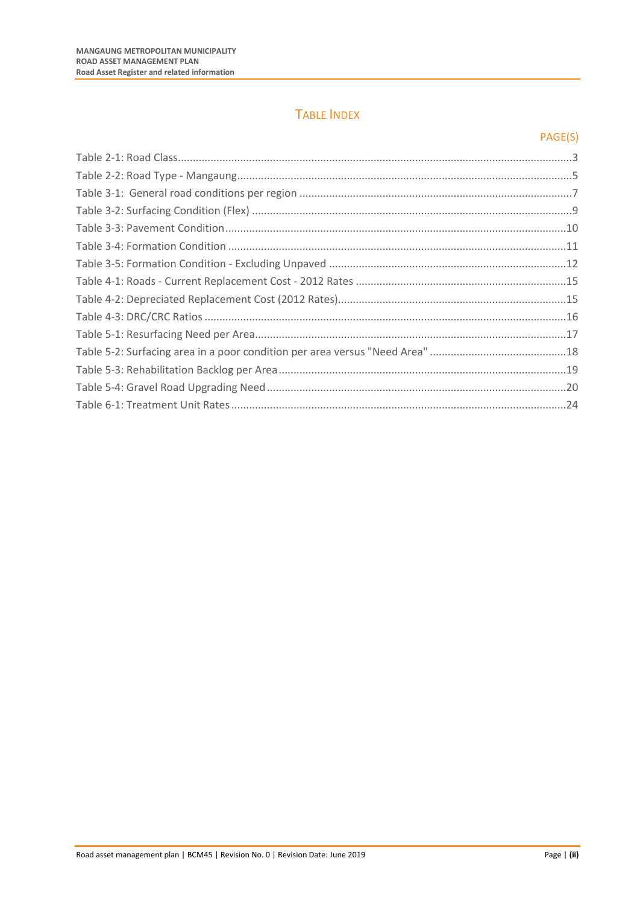## TABLE INDEX

## PAGE(S)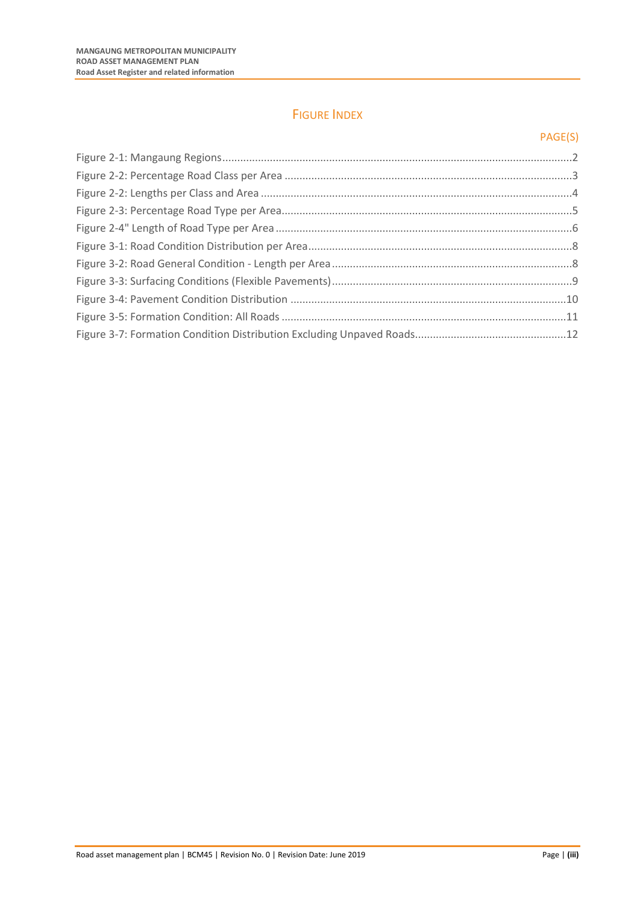## FIGURE INDEX

## PAGE(S)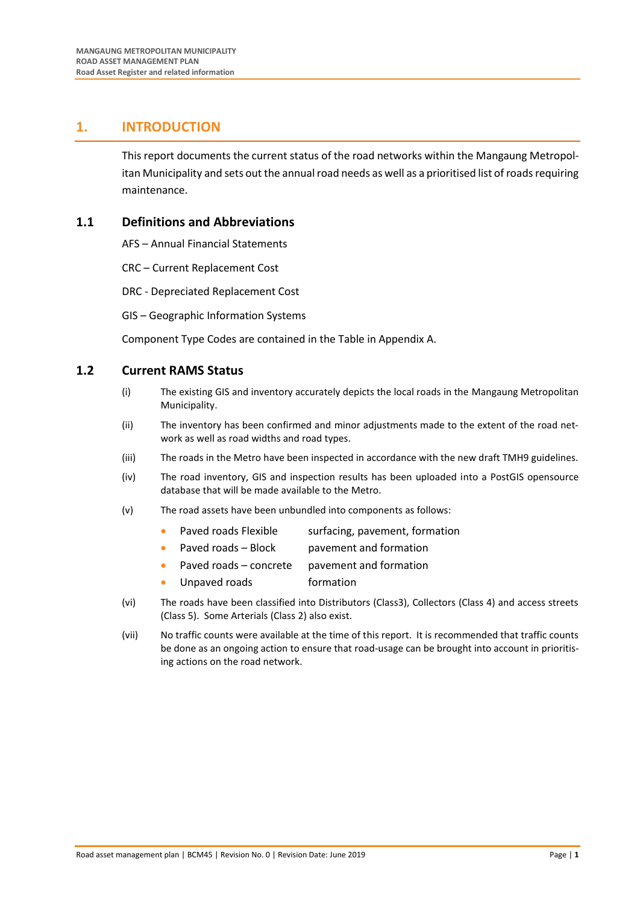## <span id="page-9-0"></span>**1. INTRODUCTION**

This report documents the current status of the road networks within the Mangaung Metropolitan Municipality and sets out the annual road needs as well as a prioritised list of roads requiring maintenance.

## <span id="page-9-1"></span>**1.1 Definitions and Abbreviations**

AFS – Annual Financial Statements

- CRC Current Replacement Cost
- DRC Depreciated Replacement Cost
- GIS Geographic Information Systems

Component Type Codes are contained in the Table in Appendix A.

## <span id="page-9-2"></span>**1.2 Current RAMS Status**

- (i) The existing GIS and inventory accurately depicts the local roads in the Mangaung Metropolitan Municipality.
- (ii) The inventory has been confirmed and minor adjustments made to the extent of the road network as well as road widths and road types.
- (iii) The roads in the Metro have been inspected in accordance with the new draft TMH9 guidelines.
- (iv) The road inventory, GIS and inspection results has been uploaded into a PostGIS opensource database that will be made available to the Metro.
- (v) The road assets have been unbundled into components as follows:
	- Paved roads Flexible surfacing, pavement, formation
	- Paved roads Block pavement and formation
	- Paved roads concrete pavement and formation
	- Unpaved roads formation
- (vi) The roads have been classified into Distributors (Class3), Collectors (Class 4) and access streets (Class 5). Some Arterials (Class 2) also exist.
- (vii) No traffic counts were available at the time of this report. It is recommended that traffic counts be done as an ongoing action to ensure that road-usage can be brought into account in prioritising actions on the road network.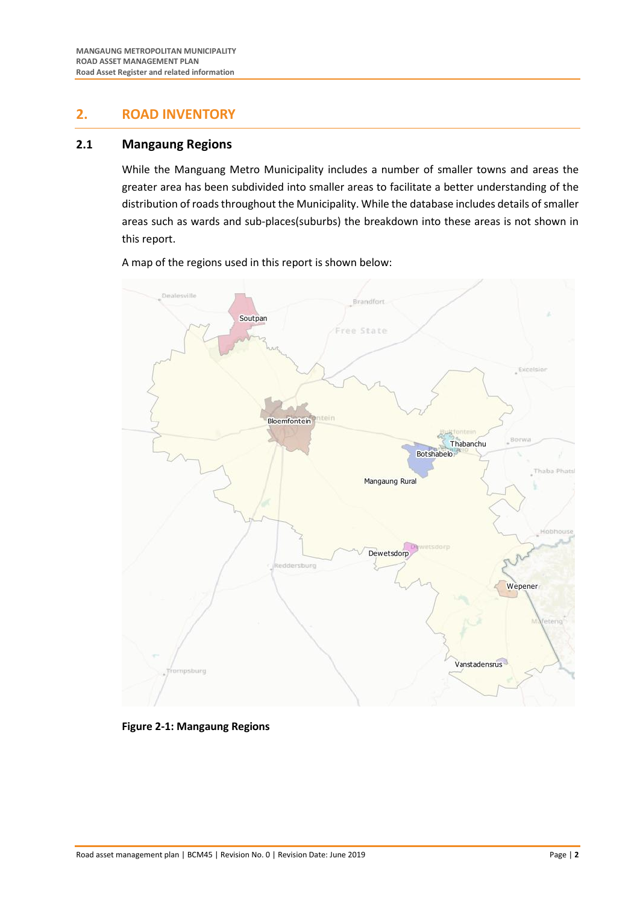## <span id="page-10-0"></span>**2. ROAD INVENTORY**

## <span id="page-10-1"></span>**2.1 Mangaung Regions**

While the Manguang Metro Municipality includes a number of smaller towns and areas the greater area has been subdivided into smaller areas to facilitate a better understanding of the distribution of roads throughout the Municipality. While the database includes details of smaller areas such as wards and sub-places(suburbs) the breakdown into these areas is not shown in this report.

A map of the regions used in this report is shown below:



<span id="page-10-2"></span>**Figure 2-1: Mangaung Regions**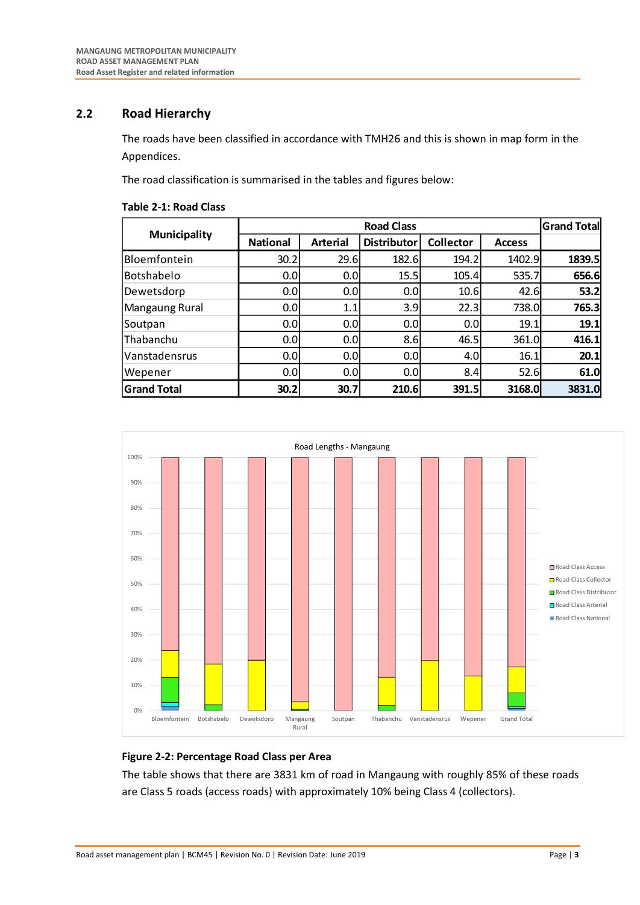## <span id="page-11-0"></span>**2.2 Road Hierarchy**

The roads have been classified in accordance with TMH26 and this is shown in map form in the Appendices.

The road classification is summarised in the tables and figures below:

<span id="page-11-1"></span>

| <b>Table 2-1: Road Class</b> |  |  |  |
|------------------------------|--|--|--|
|------------------------------|--|--|--|

|                     |                 | <b>Grand Total</b> |                    |                  |               |        |
|---------------------|-----------------|--------------------|--------------------|------------------|---------------|--------|
| <b>Municipality</b> | <b>National</b> | <b>Arterial</b>    | <b>Distributor</b> | <b>Collector</b> | <b>Access</b> |        |
| Bloemfontein        | 30.2            | 29.6               | 182.6              | 194.2            | 1402.9        | 1839.5 |
| Botshabelo          | 0.0             | 0.0 <sub>l</sub>   | 15.5               | 105.4            | 535.7         | 656.6  |
| Dewetsdorp          | 0.0             | 0.0                | 0.0                | 10.6             | 42.6          | 53.2   |
| Mangaung Rural      | 0.0             | 1.1                | 3.9                | 22.3             | 738.0         | 765.3  |
| Soutpan             | 0.0             | 0.0                | 0.0                | 0.0              | 19.1          | 19.1   |
| Thabanchu           | 0.0             | 0.0                | 8.6                | 46.5             | 361.0         | 416.1  |
| Vanstadensrus       | 0.0             | 0.0 <sub>l</sub>   | 0.0                | 4.0              | 16.1          | 20.1   |
| Wepener             | 0.0             | 0.0 <sub>l</sub>   | 0.0                | 8.4              | 52.6          | 61.0   |
| <b>Grand Total</b>  | 30.2            | 30.7               | 210.6              | 391.5            | 3168.0        | 3831.0 |



#### <span id="page-11-2"></span>**Figure 2-2: Percentage Road Class per Area**

The table shows that there are 3831 km of road in Mangaung with roughly 85% of these roads are Class 5 roads (access roads) with approximately 10% being Class 4 (collectors).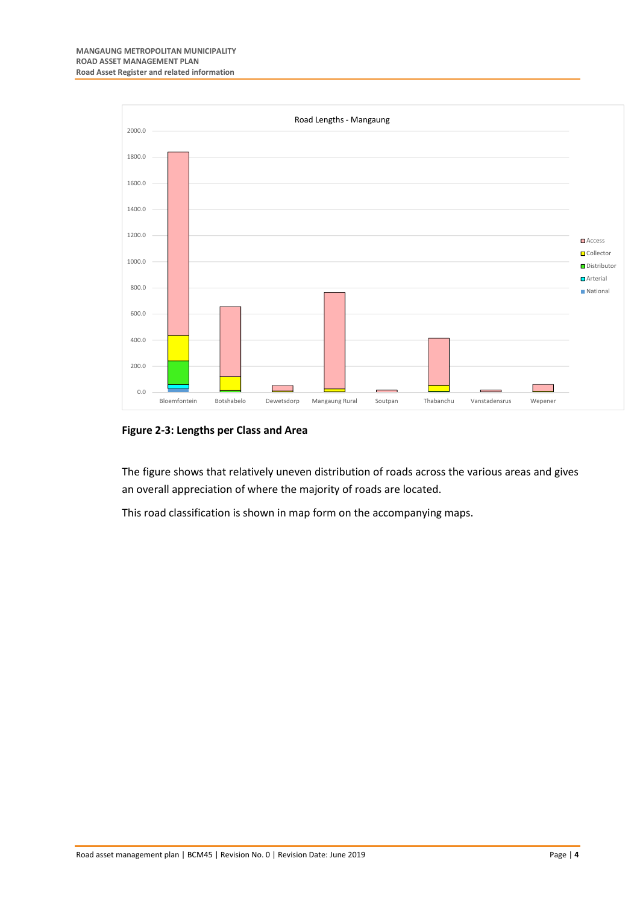

<span id="page-12-0"></span>**Figure 2-3: Lengths per Class and Area**

The figure shows that relatively uneven distribution of roads across the various areas and gives an overall appreciation of where the majority of roads are located.

This road classification is shown in map form on the accompanying maps.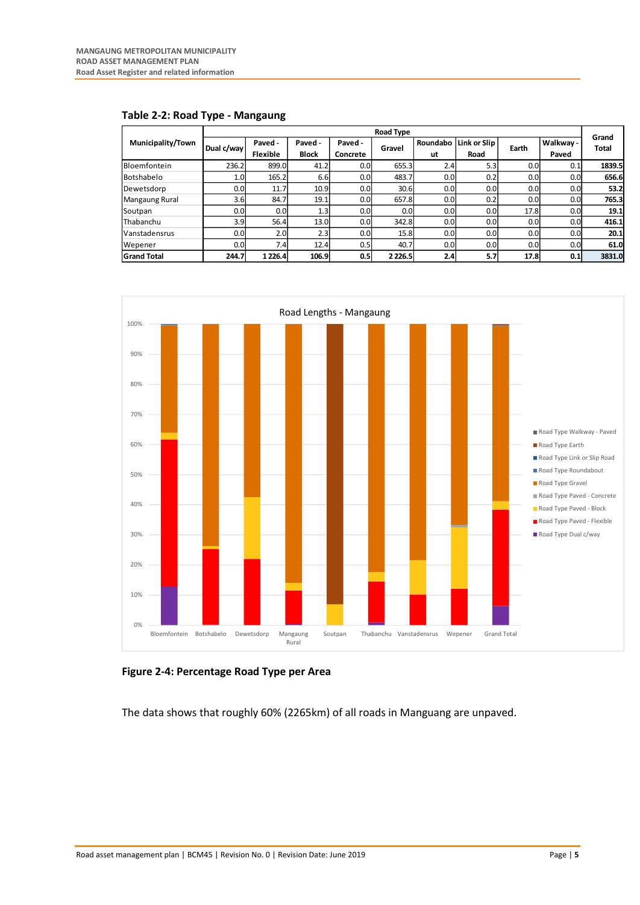|                          | Road Type        |                            |                         |                     |             |                |                      |                  |                    |                |
|--------------------------|------------------|----------------------------|-------------------------|---------------------|-------------|----------------|----------------------|------------------|--------------------|----------------|
| <b>Municipality/Town</b> | Dual c/way       | Paved -<br><b>Flexible</b> | Paved -<br><b>Block</b> | Paved -<br>Concrete | Gravel      | Roundabo<br>ut | Link or Slip<br>Road | Earth            | Walkway -<br>Paved | Grand<br>Total |
| Bloemfontein             | 236.2            | 899.0                      | 41.2                    | 0.0                 | 655.3       | 2.4            | 5.3                  | 0.0 <sub>l</sub> | 0.1                | 1839.5         |
| Botshabelo               | 1.0 <sub>l</sub> | 165.2                      | 6.6                     | 0.01                | 483.7       | 0.0            | 0.2                  | 0.0 <sub>l</sub> | 0.0                | 656.6          |
| Dewetsdorp               | 0.01             | 11.7                       | 10.9                    | 0.0                 | 30.6        | 0.0            | 0.0 <sub>l</sub>     | 0.0              | 0.0                | 53.2           |
| Mangaung Rural           | 3.6              | 84.7                       | 19.1                    | 0.0 <sub>l</sub>    | 657.8       | 0.0            | 0.2                  | 0.0 <sub>l</sub> | 0.0                | 765.3          |
| Soutpan                  | 0.01             | 0.01                       | 1.3                     | 0.01                | 0.0         | 0.0            | 0.0 <sub>l</sub>     | 17.8             | 0.0                | 19.1           |
| Thabanchu                | 3.9              | 56.4                       | 13.0                    | 0.0                 | 342.8       | 0.0            | 0.0 <sub>l</sub>     | 0.0              | 0.0                | 416.1          |
| Vanstadensrus            | 0.01             | 2.0                        | 2.3                     | 0.0                 | 15.8        | 0.0            | 0.0 <sub>l</sub>     | 0.0              | 0.0                | 20.1           |
| Wepener                  | 0.01             | 7.4                        | 12.4                    | 0.5                 | 40.7        | 0.0            | 0.0 <sub>l</sub>     | 0.0 <sub>l</sub> | 0.0                | 61.0           |
| <b>Grand Total</b>       | 244.7            | 1 2 2 6.4                  | 106.9                   | 0.5                 | 2 2 2 6 . 5 | 2.4            | 5.7                  | 17.8             | 0.1                | 3831.0         |

<span id="page-13-0"></span>**Table 2-2: Road Type - Mangaung**



<span id="page-13-1"></span>**Figure 2-4: Percentage Road Type per Area**

The data shows that roughly 60% (2265km) of all roads in Manguang are unpaved.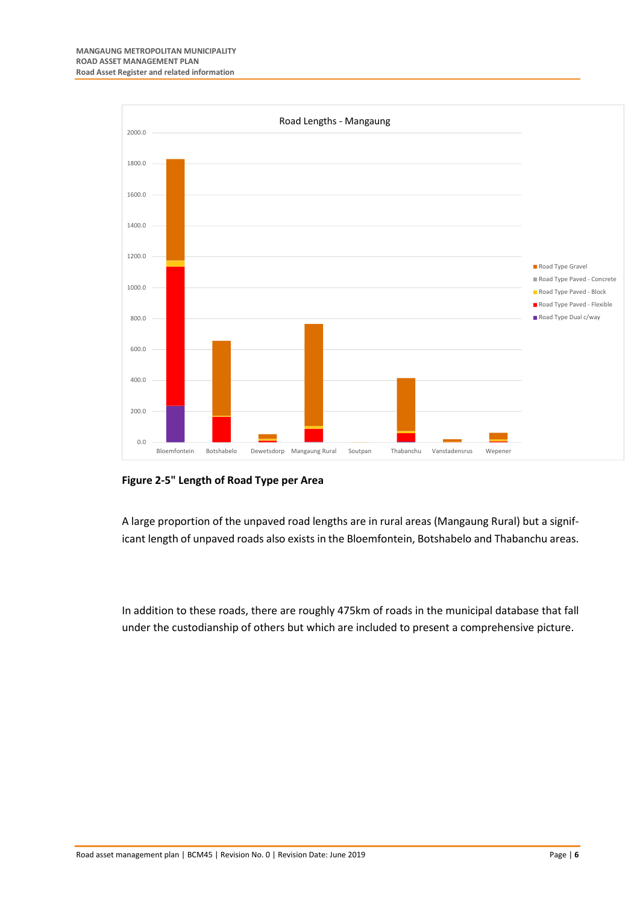

#### <span id="page-14-0"></span>**Figure 2-5" Length of Road Type per Area**

A large proportion of the unpaved road lengths are in rural areas (Mangaung Rural) but a significant length of unpaved roads also exists in the Bloemfontein, Botshabelo and Thabanchu areas.

In addition to these roads, there are roughly 475km of roads in the municipal database that fall under the custodianship of others but which are included to present a comprehensive picture.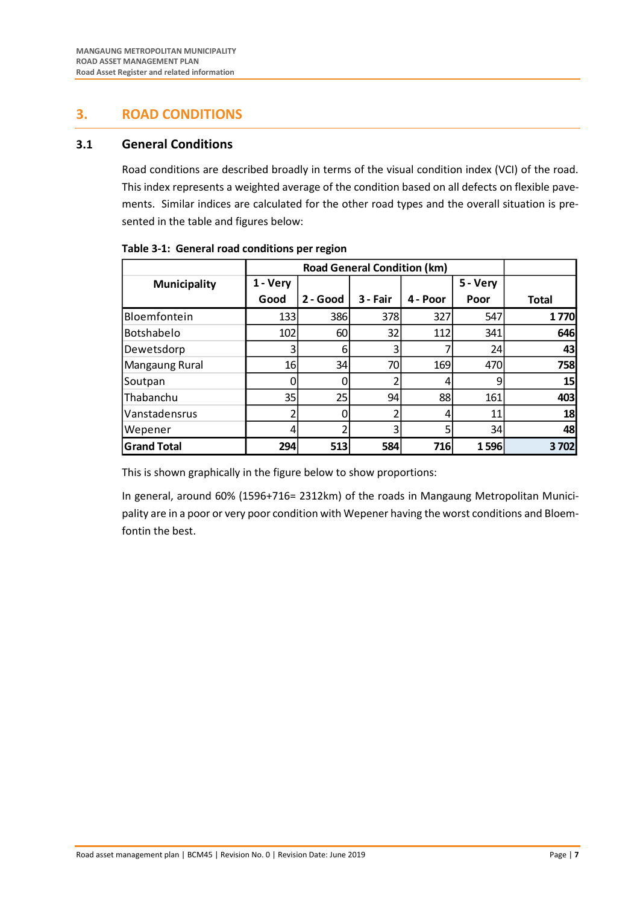## <span id="page-15-0"></span>**3. ROAD CONDITIONS**

## <span id="page-15-1"></span>**3.1 General Conditions**

Road conditions are described broadly in terms of the visual condition index (VCI) of the road. This index represents a weighted average of the condition based on all defects on flexible pavements. Similar indices are calculated for the other road types and the overall situation is presented in the table and figures below:

|                     |          | <b>Road General Condition (km)</b> |          |          |          |              |  |
|---------------------|----------|------------------------------------|----------|----------|----------|--------------|--|
| <b>Municipality</b> | 1 - Very |                                    |          |          | 5 - Very |              |  |
|                     | Good     | 2 - Good                           | 3 - Fair | 4 - Poor | Poor     | <b>Total</b> |  |
| Bloemfontein        | 133      | 386                                | 378      | 327      | 547      | 1770         |  |
| Botshabelo          | 102      | 60                                 | 32       | 112      | 341      | 646          |  |
| Dewetsdorp          | 3        | 6                                  |          |          | 24       | 43           |  |
| Mangaung Rural      | 16       | 34                                 | 70       | 169      | 470      | <b>758</b>   |  |
| Soutpan             |          |                                    |          |          | 9        | 15           |  |
| Thabanchu           | 35       | 25                                 | 94       | 88       | 161      | 403          |  |
| Vanstadensrus       |          |                                    |          | 4        | 11       | 18           |  |
| Wepener             |          |                                    | 3        |          | 34       | 48           |  |
| <b>Grand Total</b>  | 294      | 513                                | 584      | 716      | 1596     | 3702         |  |

#### <span id="page-15-2"></span>**Table 3-1: General road conditions per region**

This is shown graphically in the figure below to show proportions:

In general, around 60% (1596+716= 2312km) of the roads in Mangaung Metropolitan Municipality are in a poor or very poor condition with Wepener having the worst conditions and Bloemfontin the best.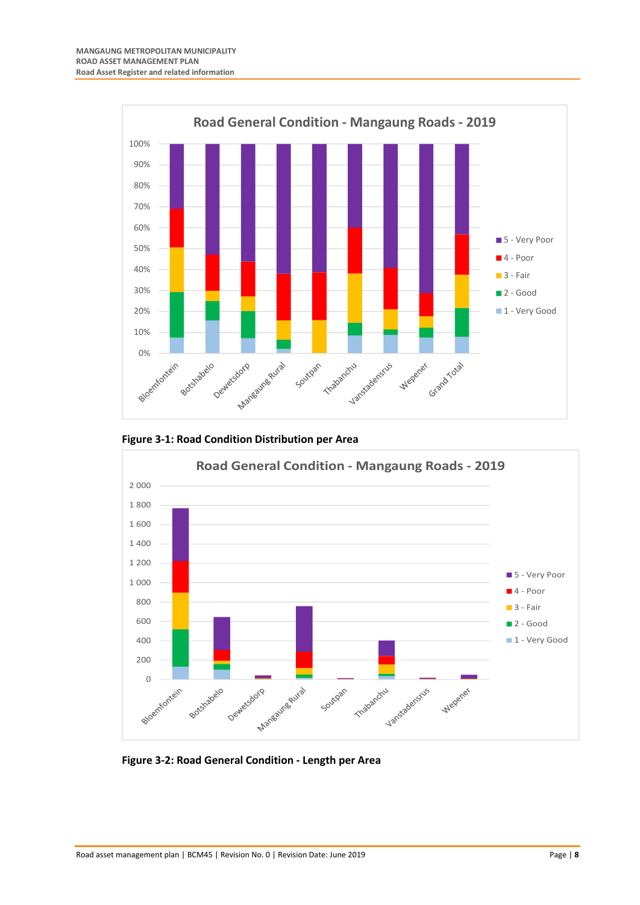

<span id="page-16-0"></span>



<span id="page-16-1"></span>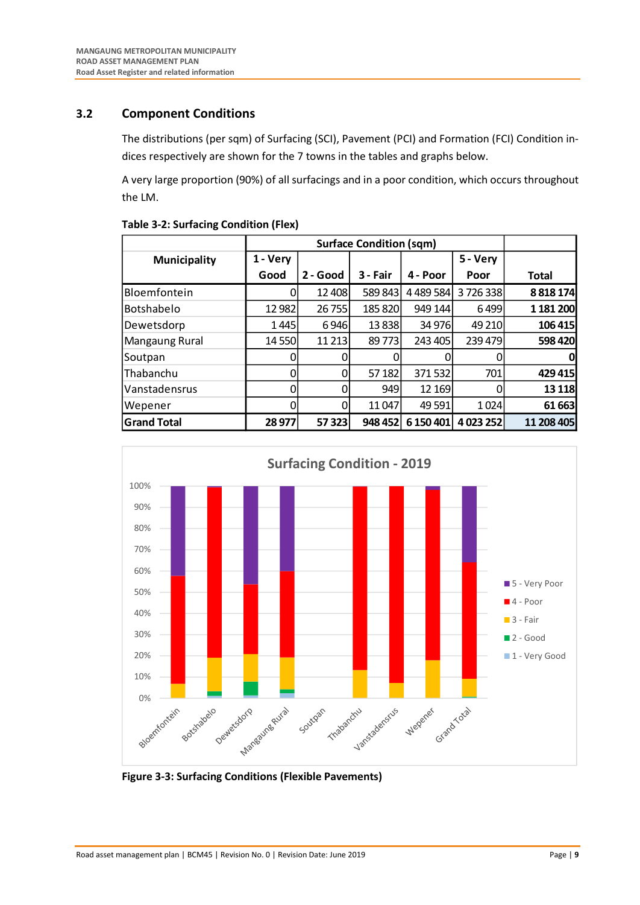## <span id="page-17-0"></span>**3.2 Component Conditions**

The distributions (per sqm) of Surfacing (SCI), Pavement (PCI) and Formation (FCI) Condition indices respectively are shown for the 7 towns in the tables and graphs below.

A very large proportion (90%) of all surfacings and in a poor condition, which occurs throughout the LM.

| <b>Municipality</b> | 1 - Very |          |          |               | 5 - Very  |              |
|---------------------|----------|----------|----------|---------------|-----------|--------------|
|                     | Good     | 2 - Good | 3 - Fair | 4 - Poor      | Poor      | <b>Total</b> |
| Bloemfontein        | 0        | 12 408   | 589 843  | 4 4 8 5 5 8 4 | 3726338   | 8 8 18 174   |
| Botshabelo          | 12 982   | 26755    | 185 820  | 949 144       | 6499      | 1 181 200    |
| Dewetsdorp          | 1445     | 6946     | 13838    | 34 976        | 49 210    | 106 415      |
| Mangaung Rural      | 14 550   | 11 2 13  | 89773    | 243 405       | 239 479   | 598 420      |
| Soutpan             | 0        | 0        |          |               | 0         | 0            |
| <b>Thabanchu</b>    | 0        | 0        | 57 182   | 371532        | 701       | 429 415      |
| Vanstadensrus       | 0        | 0        | 949      | 12 169        | 0         | 13 1 18      |
| Wepener             | 0        | 0        | 11047    | 49 5 91       | 1024      | 61 663       |
| <b>Grand Total</b>  | 28 977   | 57 323   | 948 452  | 6 150 401     | 4 023 252 | 11 208 405   |

#### <span id="page-17-1"></span>**Table 3-2: Surfacing Condition (Flex)**



<span id="page-17-2"></span>**Figure 3-3: Surfacing Conditions (Flexible Pavements)**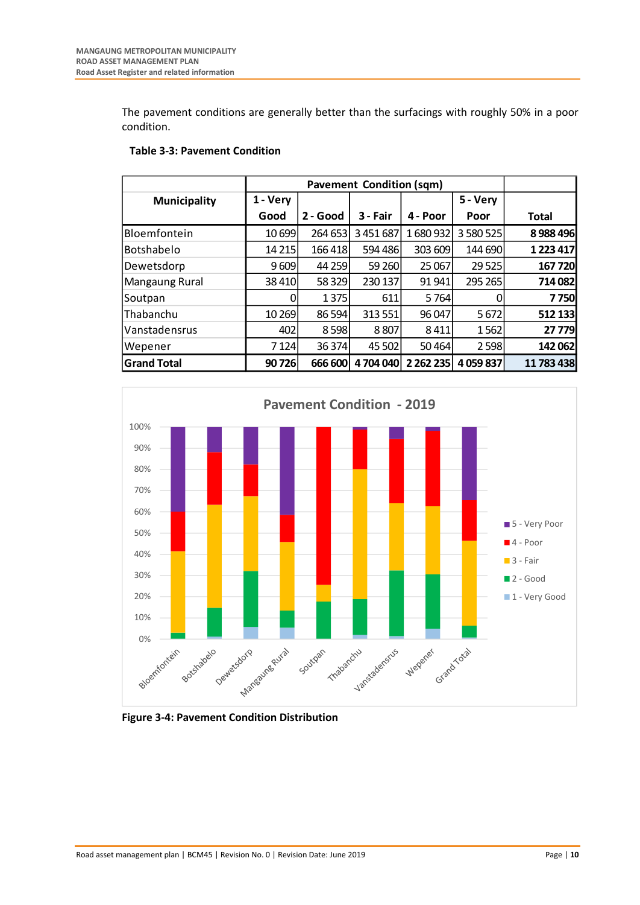The pavement conditions are generally better than the surfacings with roughly 50% in a poor condition.

| <b>Municipality</b> | 1 - Very |          |          |               | 5 - Very    |              |
|---------------------|----------|----------|----------|---------------|-------------|--------------|
|                     | Good     | 2 - Good | 3 - Fair | 4 - Poor      | Poor        | <b>Total</b> |
| Bloemfontein        | 10 699   | 264 653  | 3451687  | 1680932       | 3 580 525   | 8988496      |
| <b>Botshabelo</b>   | 14 2 15  | 166418   | 594 486  | 303 609       | 144 690     | 1 223 417    |
| Dewetsdorp          | 9609     | 44 259   | 59 260   | 25 067        | 29 5 25     | 167720       |
| Mangaung Rural      | 38 4 10  | 58 329   | 230 137  | 91 941        | 295 265     | 714 082      |
| Soutpan             | 0        | 1 3 7 5  | 611      | 5764          | 0           | 7750         |
| lThabanchu          | 10 269   | 86 594   | 313 551  | 96 047        | 5 6 72      | 512 133      |
| Vanstadensrus       | 402      | 8598     | 8807     | 8411          | 1562        | 27 779       |
| Wepener             | 7 1 24   | 36 374   | 45 502   | 50464         | 2 5 9 8     | 142 062      |
| <b>Grand Total</b>  | 90726    | 666 600  | 4704040  | 2 2 6 2 2 3 5 | 4 0 59 8 37 | 11 783 438   |

## <span id="page-18-0"></span>**Table 3-3: Pavement Condition**



<span id="page-18-1"></span>**Figure 3-4: Pavement Condition Distribution**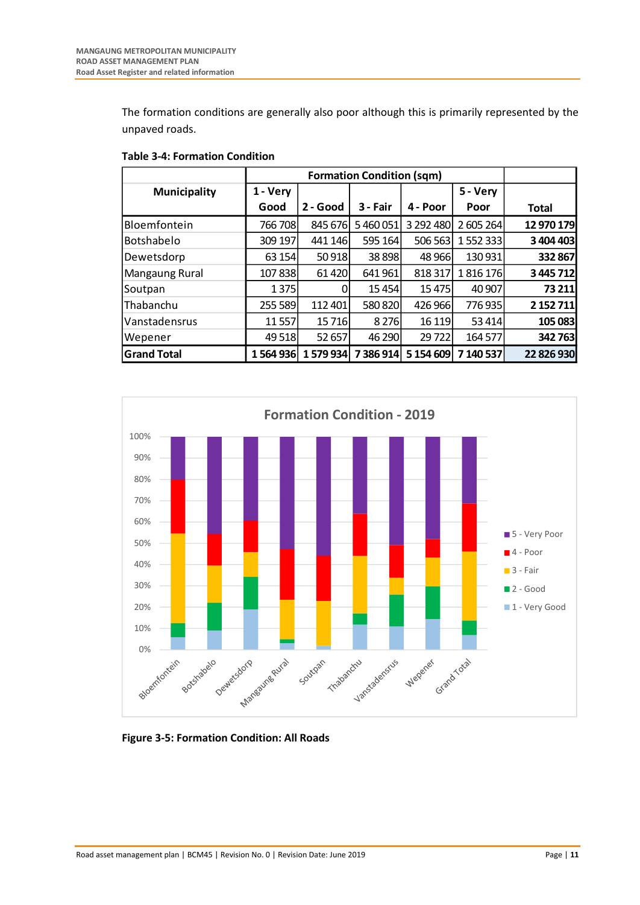The formation conditions are generally also poor although this is primarily represented by the unpaved roads.

| <b>Municipality</b> | 1 - Very |          |           |           | 5 - Very  |              |
|---------------------|----------|----------|-----------|-----------|-----------|--------------|
|                     | Good     | 2 - Good | 3 - Fair  | 4 - Poor  | Poor      | <b>Total</b> |
| Bloemfontein        | 766 708  | 845 676  | 5460051   | 3 292 480 | 2 605 264 | 12 970 179   |
| <b>Botshabelo</b>   | 309 197  | 441 146  | 595 164   | 506 563   | 1552333   | 3 404 403    |
| Dewetsdorp          | 63 154   | 50 918   | 38898     | 48 9 66   | 130 931   | 332 867      |
| Mangaung Rural      | 107838   | 61 4 20  | 641 961   | 818 317   | 1816176   | 3 445 712    |
| Soutpan             | 1 3 7 5  | 0        | 15 4 54   | 15 4 7 5  | 40 907    | 73 211       |
| lThabanchu          | 255 589  | 112 401  | 580 820   | 426 966   | 776935    | 2 152 711    |
| l Vanstadensrus     | 11 557   | 15716    | 8 2 7 6   | 16 1 19   | 53 4 14   | 105 083      |
| Wepener             | 49 5 18  | 52 657   | 46 290    | 29722     | 164 577   | 342763       |
| <b>Grand Total</b>  | 1564936  | 1579934  | 7 386 914 | 5 154 609 | 7 140 537 | 22 826 930   |

#### <span id="page-19-0"></span>**Table 3-4: Formation Condition**



<span id="page-19-1"></span>**Figure 3-5: Formation Condition: All Roads**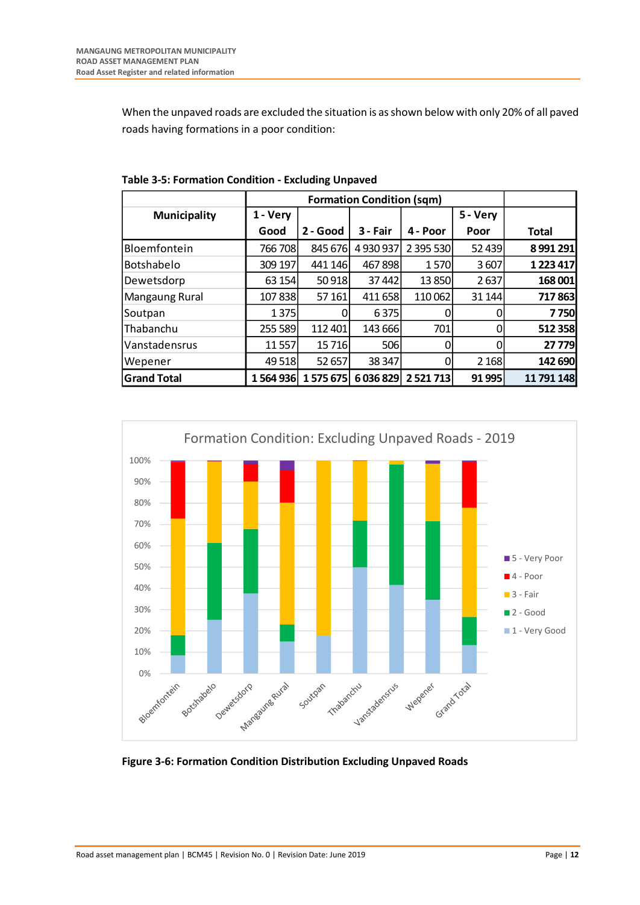When the unpaved roads are excluded the situation is as shown below with only 20% of all paved roads having formations in a poor condition:

|                     |          | <b>Formation Condition (sqm)</b> |          |               |          |            |  |
|---------------------|----------|----------------------------------|----------|---------------|----------|------------|--|
| <b>Municipality</b> | 1 - Very |                                  |          |               | 5 - Very |            |  |
|                     | Good     | 2 - Good                         | 3 - Fair | 4 - Poor      | Poor     | Total      |  |
| Bloemfontein        | 766 708  | 845 676                          | 4930937  | 2 395 530     | 52 439   | 8991291    |  |
| Botshabelo          | 309 197  | 441 146                          | 467898   | 1570          | 3607     | 1 223 417  |  |
| Dewetsdorp          | 63 154   | 50 918                           | 37442    | 13 850        | 2637     | 168 001    |  |
| Mangaung Rural      | 107838   | 57 161                           | 411 658  | 110 062       | 31 144   | 717863     |  |
| Soutpan             | 1 3 7 5  | 0                                | 6375     |               | 0        | 7750       |  |
| Thabanchu           | 255 589  | 112 401                          | 143 666  | 701           | 0        | 512 358    |  |
| Vanstadensrus       | 11 557   | 15716                            | 506      |               | 0        | 27 779     |  |
| Wepener             | 49 5 18  | 52 657                           | 38 347   |               | 2 1 6 8  | 142 690    |  |
| <b>Grand Total</b>  | 1564936  | 1575675                          | 6036829  | 2 5 2 1 7 1 3 | 91 995   | 11 791 148 |  |

<span id="page-20-0"></span>**Table 3-5: Formation Condition - Excluding Unpaved**



<span id="page-20-1"></span>**Figure 3-6: Formation Condition Distribution Excluding Unpaved Roads**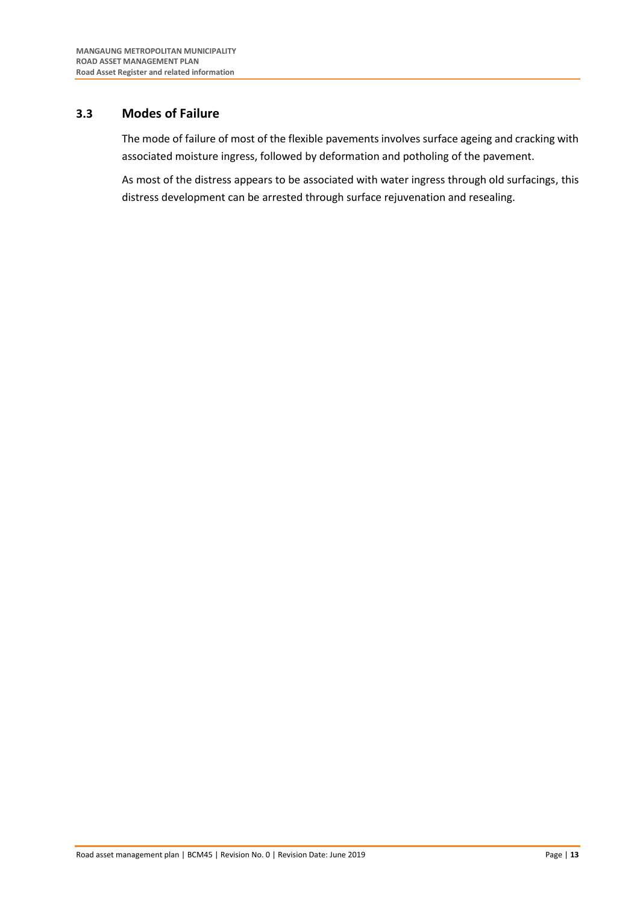## <span id="page-21-0"></span>**3.3 Modes of Failure**

The mode of failure of most of the flexible pavements involves surface ageing and cracking with associated moisture ingress, followed by deformation and potholing of the pavement.

As most of the distress appears to be associated with water ingress through old surfacings, this distress development can be arrested through surface rejuvenation and resealing.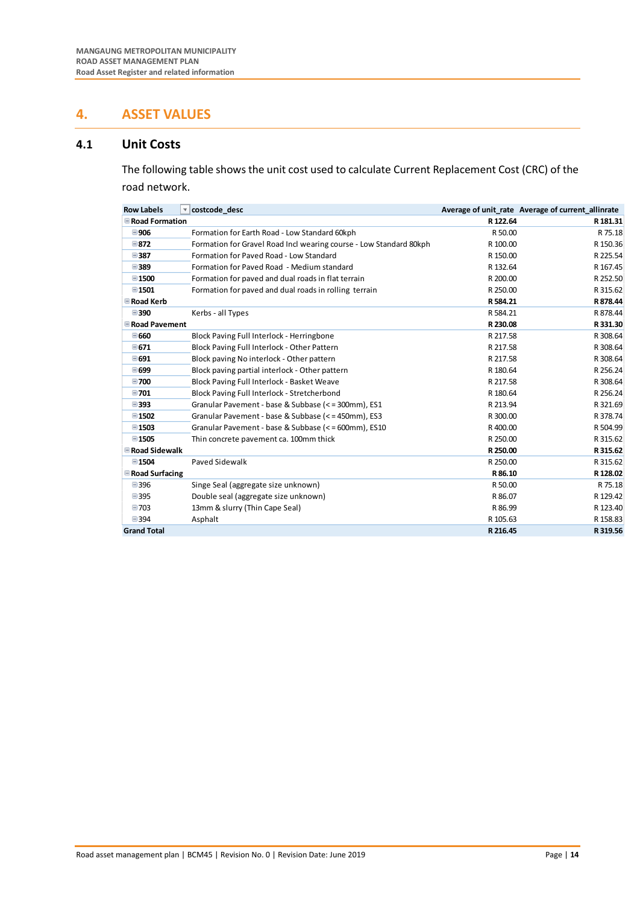## <span id="page-22-0"></span>**4. ASSET VALUES**

## <span id="page-22-1"></span>**4.1 Unit Costs**

The following table shows the unit cost used to calculate Current Replacement Cost (CRC) of the road network.

| <b>Row Labels</b>       | costcode desc<br>$\overline{\phantom{a}}$                          |          | Average of unit rate Average of current allinrate |
|-------------------------|--------------------------------------------------------------------|----------|---------------------------------------------------|
| <b>■ Road Formation</b> |                                                                    | R 122.64 | R 181.31                                          |
| ■906                    | Formation for Earth Road - Low Standard 60kph                      | R 50.00  | R 75.18                                           |
| $\boxminus$ 872         | Formation for Gravel Road Incl wearing course - Low Standard 80kph | R 100.00 | R 150.36                                          |
| ■387                    | Formation for Paved Road - Low Standard                            | R 150.00 | R 225.54                                          |
| ■389                    | Formation for Paved Road - Medium standard                         | R 132.64 | R 167.45                                          |
| ■1500                   | Formation for paved and dual roads in flat terrain                 | R 200.00 | R 252.50                                          |
| $\boxminus$ 1501        | Formation for paved and dual roads in rolling terrain              | R 250.00 | R 315.62                                          |
| <b>ERoad Kerb</b>       |                                                                    | R 584.21 | R 878.44                                          |
| ■390                    | Kerbs - all Types                                                  | R 584.21 | R 878.44                                          |
| <b>E</b> Road Pavement  |                                                                    | R 230.08 | R 331.30                                          |
| ■660                    | Block Paving Full Interlock - Herringbone                          | R 217.58 | R 308.64                                          |
| $\Xi$ 671               | Block Paving Full Interlock - Other Pattern                        | R 217.58 | R 308.64                                          |
| □ 691                   | Block paving No interlock - Other pattern                          | R 217.58 | R 308.64                                          |
| ■699                    | Block paving partial interlock - Other pattern                     | R 180.64 | R 256.24                                          |
| ■700                    | Block Paving Full Interlock - Basket Weave                         | R 217.58 | R 308.64                                          |
| ■701                    | Block Paving Full Interlock - Stretcherbond                        | R 180.64 | R 256.24                                          |
| ■393                    | Granular Pavement - base & Subbase (<= 300mm), ES1                 | R 213.94 | R 321.69                                          |
| $\boxplus$ 1502         | Granular Pavement - base & Subbase (<=450mm), ES3                  | R 300.00 | R 378.74                                          |
| ■1503                   | Granular Pavement - base & Subbase (<=600mm), ES10                 | R400.00  | R 504.99                                          |
| □1505                   | Thin concrete pavement ca. 100mm thick                             | R 250.00 | R 315.62                                          |
| <b>E</b> Road Sidewalk  |                                                                    | R 250.00 | R 315.62                                          |
| ■1504                   | Paved Sidewalk                                                     | R 250.00 | R 315.62                                          |
| <b>E</b> Road Surfacing |                                                                    | R 86.10  | R 128.02                                          |
| ■396                    | Singe Seal (aggregate size unknown)                                | R 50.00  | R 75.18                                           |
| ■395                    | Double seal (aggregate size unknown)                               | R 86.07  | R 129.42                                          |
| ■703                    | 13mm & slurry (Thin Cape Seal)                                     | R 86.99  | R 123.40                                          |
| ■394                    | Asphalt                                                            | R 105.63 | R 158.83                                          |
| <b>Grand Total</b>      |                                                                    | R 216.45 | R 319.56                                          |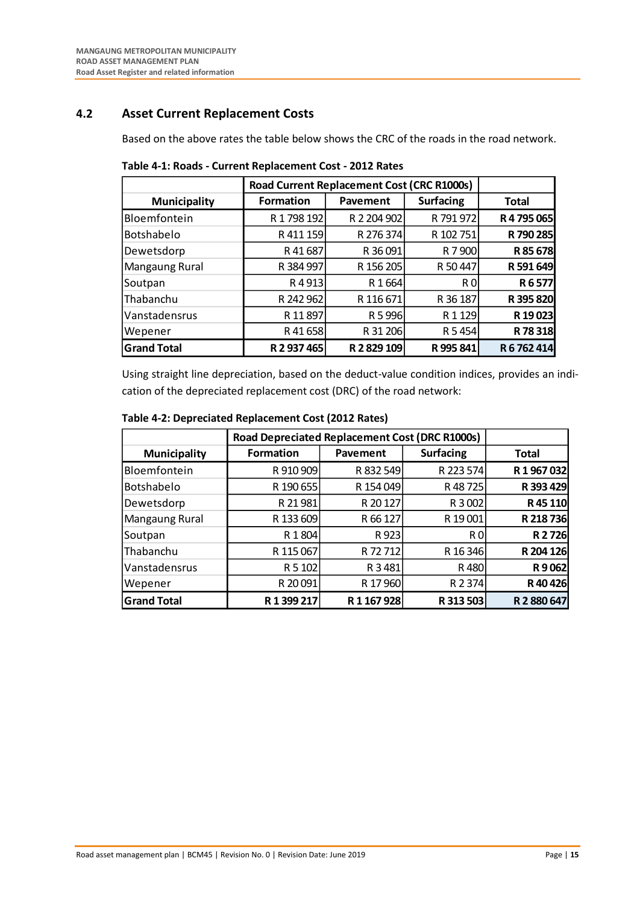## <span id="page-23-0"></span>**4.2 Asset Current Replacement Costs**

Based on the above rates the table below shows the CRC of the roads in the road network.

|                     |                  | Road Current Replacement Cost (CRC R1000s) |                  |              |  |  |  |
|---------------------|------------------|--------------------------------------------|------------------|--------------|--|--|--|
| <b>Municipality</b> | <b>Formation</b> | Pavement                                   | <b>Surfacing</b> | <b>Total</b> |  |  |  |
| Bloemfontein        | R 1798 192       | R 2 204 902                                | R 791 972        | R 4 795 065  |  |  |  |
| Botshabelo          | R 411 159        | R 276 374                                  | R 102 751        | R 790 285    |  |  |  |
| Dewetsdorp          | R41687           | R 36 091                                   | R 7 900          | R 85 678     |  |  |  |
| Mangaung Rural      | R 384 997        | R 156 205                                  | R 50 447         | R 591 649    |  |  |  |
| Soutpan             | R4913            | R 1664                                     | R <sub>0</sub>   | R6577        |  |  |  |
| Thabanchu           | R 242 962        | R 116 671                                  | R 36 187         | R 395 820    |  |  |  |
| Vanstadensrus       | R 11 897         | R 5 996                                    | R 1 1 2 9        | R 19 023     |  |  |  |
| Wepener             | R 41 658         | R 31 206                                   | R 5454           | R 78 318     |  |  |  |
| <b>Grand Total</b>  | R 2 937 465      | R 2 829 109                                | R 995 841        | R 6 762 414  |  |  |  |

<span id="page-23-1"></span>**Table 4-1: Roads - Current Replacement Cost - 2012 Rates**

Using straight line depreciation, based on the deduct-value condition indices, provides an indication of the depreciated replacement cost (DRC) of the road network:

|                     | <b>Road Depreciated Replacement Cost (DRC R1000s)</b> |             |                  |             |
|---------------------|-------------------------------------------------------|-------------|------------------|-------------|
| <b>Municipality</b> | <b>Formation</b>                                      | Pavement    | <b>Surfacing</b> | Total       |
| Bloemfontein        | R 910 909                                             | R 832 549   | R 223 574        | R 1967032   |
| Botshabelo          | R 190 655                                             | R 154 049   | R 48725          | R 393 429   |
| Dewetsdorp          | R 21 981                                              | R 20 127    | R 3 002          | R 45 110    |
| Mangaung Rural      | R 133 609                                             | R 66 127    | R 19 001         | R 218 736   |
| Soutpan             | R 1804                                                | R 923       | R O              | R 2726      |
| Thabanchu           | R 115 067                                             | R 72 712    | R 16 346         | R 204 126   |
| Vanstadensrus       | R 5 102                                               | R 3 481     | R480             | R9062       |
| Wepener             | R 20 091                                              | R 17 960    | R 2 374          | R 40 426    |
| <b>Grand Total</b>  | R 1 399 217                                           | R 1 167 928 | R 313 503        | R 2 880 647 |

### <span id="page-23-2"></span>**Table 4-2: Depreciated Replacement Cost (2012 Rates)**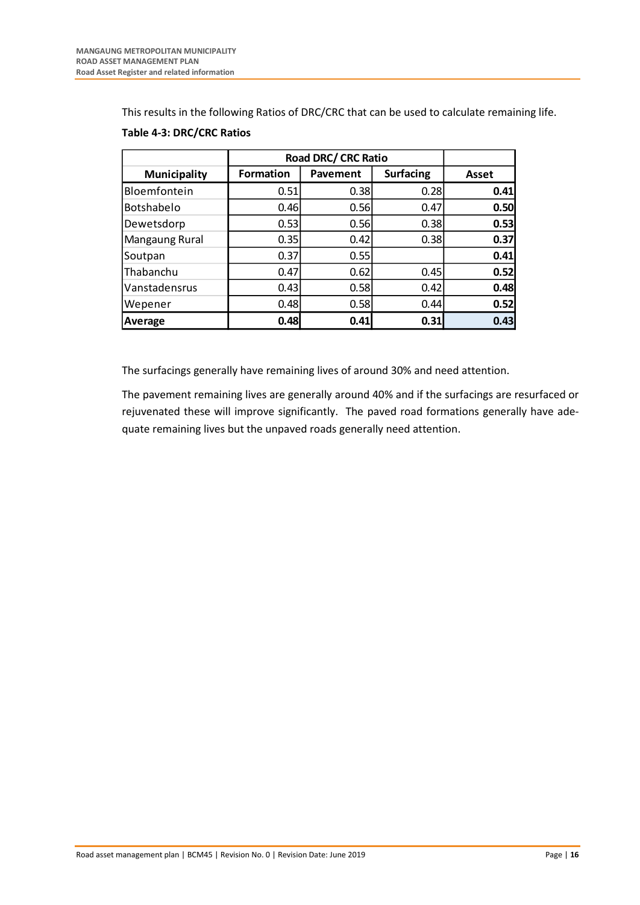This results in the following Ratios of DRC/CRC that can be used to calculate remaining life.

|                     | <b>Road DRC/ CRC Ratio</b> |          |                  |       |
|---------------------|----------------------------|----------|------------------|-------|
| <b>Municipality</b> | <b>Formation</b>           | Pavement | <b>Surfacing</b> | Asset |
| Bloemfontein        | 0.51                       | 0.38     | 0.28             | 0.41  |
| Botshabelo          | 0.46                       | 0.56     | 0.47             | 0.50  |
| Dewetsdorp          | 0.53                       | 0.56     | 0.38             | 0.53  |
| Mangaung Rural      | 0.35                       | 0.42     | 0.38             | 0.37  |
| Soutpan             | 0.37                       | 0.55     |                  | 0.41  |
| Thabanchu           | 0.47                       | 0.62     | 0.45             | 0.52  |
| Vanstadensrus       | 0.43                       | 0.58     | 0.42             | 0.48  |
| Wepener             | 0.48                       | 0.58     | 0.44             | 0.52  |
| Average             | 0.48                       | 0.41     | 0.31             | 0.43  |

## <span id="page-24-0"></span>**Table 4-3: DRC/CRC Ratios**

The surfacings generally have remaining lives of around 30% and need attention.

The pavement remaining lives are generally around 40% and if the surfacings are resurfaced or rejuvenated these will improve significantly. The paved road formations generally have adequate remaining lives but the unpaved roads generally need attention.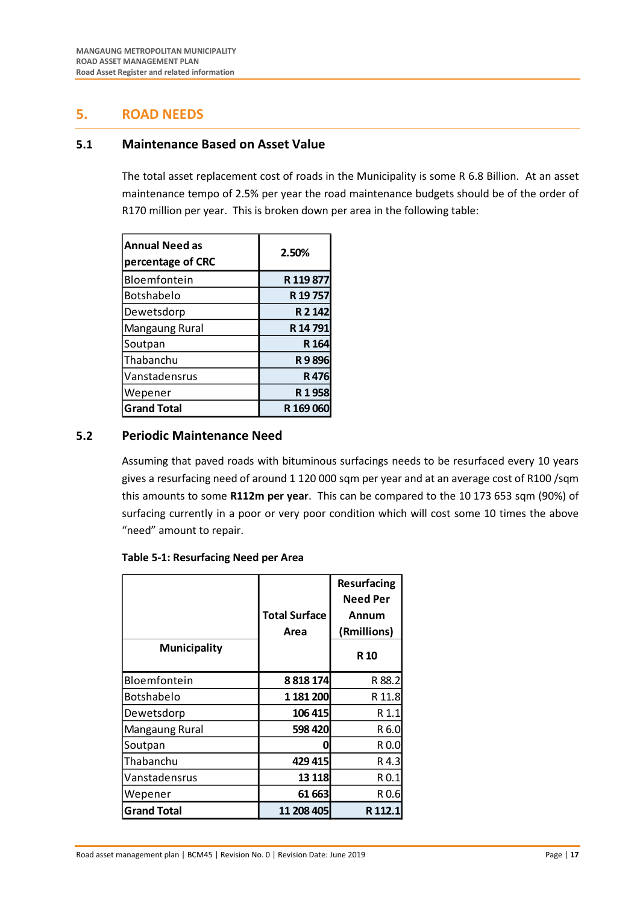## <span id="page-25-0"></span>**5. ROAD NEEDS**

## <span id="page-25-1"></span>**5.1 Maintenance Based on Asset Value**

The total asset replacement cost of roads in the Municipality is some R 6.8 Billion. At an asset maintenance tempo of 2.5% per year the road maintenance budgets should be of the order of R170 million per year. This is broken down per area in the following table:

| <b>Annual Need as</b><br>percentage of CRC | 2.50%     |
|--------------------------------------------|-----------|
| Bloemfontein                               | R 119 877 |
| Botshabelo                                 | R 19757   |
| Dewetsdorp                                 | R 2 142   |
| Mangaung Rural                             | R 14 791  |
| Soutpan                                    | R 164     |
| Thabanchu                                  | R9896     |
| Vanstadensrus                              | R476      |
| Wepener                                    | R1958     |
| <b>Grand Total</b>                         | R 169 060 |

## <span id="page-25-2"></span>**5.2 Periodic Maintenance Need**

Assuming that paved roads with bituminous surfacings needs to be resurfaced every 10 years gives a resurfacing need of around 1 120 000 sqm per year and at an average cost of R100 /sqm this amounts to some **R112m per year**. This can be compared to the 10 173 653 sqm (90%) of surfacing currently in a poor or very poor condition which will cost some 10 times the above "need" amount to repair.

#### <span id="page-25-3"></span>**Table 5-1: Resurfacing Need per Area**

| <b>Municipality</b> | <b>Total Surface</b><br>Area | Resurfacing<br><b>Need Per</b><br>Annum<br>(Rmillions)<br>R <sub>10</sub> |
|---------------------|------------------------------|---------------------------------------------------------------------------|
| Bloemfontein        | 8818174                      | R 88.2                                                                    |
| Botshabelo          | 1 181 200                    | R 11.8                                                                    |
| Dewetsdorp          | 106 415                      | R 1.1                                                                     |
| Mangaung Rural      | 598 420                      | R 6.0                                                                     |
| Soutpan             | Π                            | R 0.0                                                                     |
| l Thabanchu         | 429 415                      | R 4.3                                                                     |
| Vanstadensrus       | 13 1 18                      | R 0.1                                                                     |
| Wepener             | 61 663                       | R 0.6                                                                     |
| <b>Grand Total</b>  | 11 208 405                   | R 112.1                                                                   |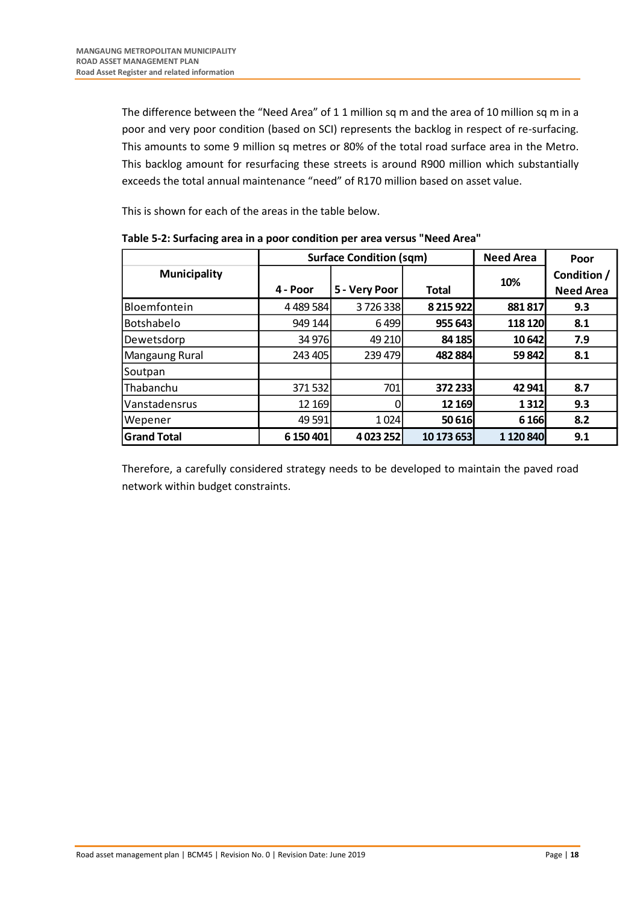The difference between the "Need Area" of 1 1 million sq m and the area of 10 million sq m in a poor and very poor condition (based on SCI) represents the backlog in respect of re-surfacing. This amounts to some 9 million sq metres or 80% of the total road surface area in the Metro. This backlog amount for resurfacing these streets is around R900 million which substantially exceeds the total annual maintenance "need" of R170 million based on asset value.

This is shown for each of the areas in the table below.

|                     |             | <b>Surface Condition (sqm)</b> | <b>Need Area</b> | Poor      |                                 |
|---------------------|-------------|--------------------------------|------------------|-----------|---------------------------------|
| <b>Municipality</b> | 4 - Poor    | 5 - Very Poor                  | Total            | 10%       | Condition /<br><b>Need Area</b> |
| Bloemfontein        | 4 4 89 5 84 | 3726338                        | 8 2 15 9 22      | 881 817   | 9.3                             |
| Botshabelo          | 949 144     | 6499                           | 955 643          | 118 120   | 8.1                             |
| Dewetsdorp          | 34 976      | 49 210                         | 84 185           | 10 642    | 7.9                             |
| Mangaung Rural      | 243 405     | 239 479                        | 482 884          | 59 842    | 8.1                             |
| Soutpan             |             |                                |                  |           |                                 |
| Thabanchu           | 371532      | 701                            | 372 233          | 42 941    | 8.7                             |
| Vanstadensrus       | 12 169      |                                | 12 169           | 1312      | 9.3                             |
| Wepener             | 49 5 91     | 1024                           | 50 616           | 6 1 6 6   | 8.2                             |
| <b>Grand Total</b>  | 6 150 401   | 4 023 252                      | 10 173 653       | 1 120 840 | 9.1                             |

<span id="page-26-0"></span>**Table 5-2: Surfacing area in a poor condition per area versus "Need Area"**

Therefore, a carefully considered strategy needs to be developed to maintain the paved road network within budget constraints.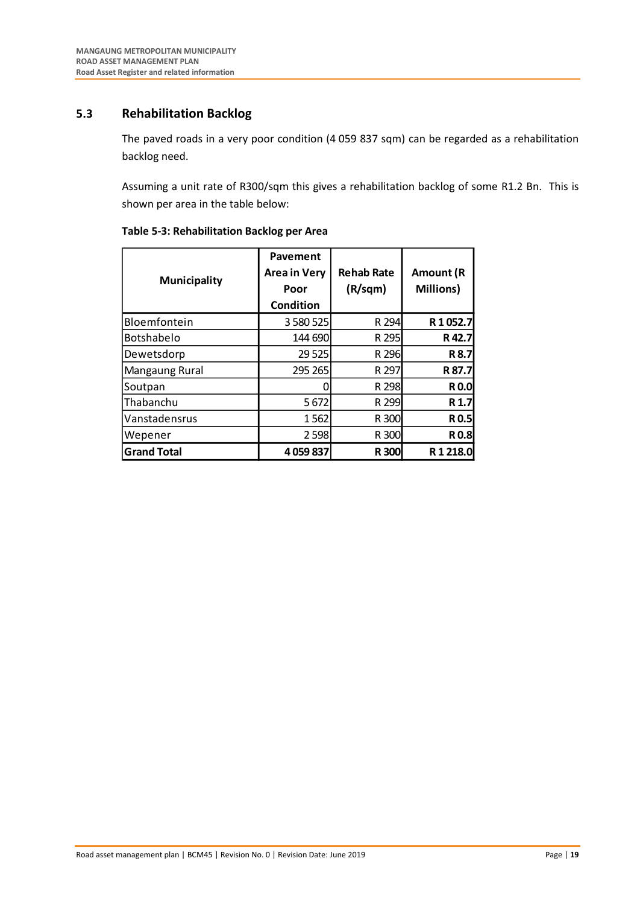## <span id="page-27-0"></span>**5.3 Rehabilitation Backlog**

The paved roads in a very poor condition (4 059 837 sqm) can be regarded as a rehabilitation backlog need.

Assuming a unit rate of R300/sqm this gives a rehabilitation backlog of some R1.2 Bn. This is shown per area in the table below:

| <b>Municipality</b> | Pavement<br><b>Area in Very</b><br>Poor<br>Condition | <b>Rehab Rate</b><br>(R/sqm) | Amount (R<br>Millions) |
|---------------------|------------------------------------------------------|------------------------------|------------------------|
| Bloemfontein        | 3 580 525                                            | R 294                        | R1052.7                |
| <b>Botshabelo</b>   | 144 690                                              | R 295                        | R42.7                  |
| Dewetsdorp          | 29 5 25                                              | R 296                        | R 8.7                  |
| Mangaung Rural      | 295 265                                              | R 297                        | R 87.7                 |
| Soutpan             |                                                      | R 298                        | <b>R0.0</b>            |
| Thabanchu           | 5672                                                 | R 299                        | R 1.7                  |
| Vanstadensrus       | 1562                                                 | R 300                        | <b>R0.5</b>            |
| Wepener             | 2598                                                 | R 300                        | <b>R0.8</b>            |
| <b>Grand Total</b>  | 4059837                                              | <b>R300</b>                  | R1218.0                |

## <span id="page-27-1"></span>**Table 5-3: Rehabilitation Backlog per Area**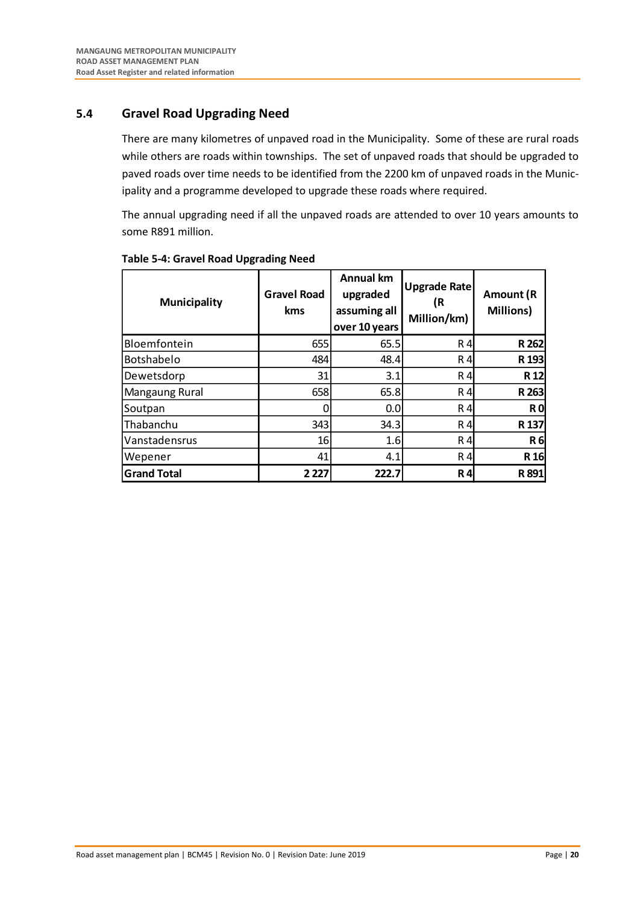## <span id="page-28-0"></span>**5.4 Gravel Road Upgrading Need**

There are many kilometres of unpaved road in the Municipality. Some of these are rural roads while others are roads within townships. The set of unpaved roads that should be upgraded to paved roads over time needs to be identified from the 2200 km of unpaved roads in the Municipality and a programme developed to upgrade these roads where required.

The annual upgrading need if all the unpaved roads are attended to over 10 years amounts to some R891 million.

| <b>Municipality</b> | <b>Gravel Road</b><br>kms | <b>Annual km</b><br>upgraded<br>assuming all<br>over 10 years | <b>Upgrade Rate</b><br>(R<br>Million/km) | Amount (R<br><b>Millions)</b> |
|---------------------|---------------------------|---------------------------------------------------------------|------------------------------------------|-------------------------------|
| Bloemfontein        | 655                       | 65.5                                                          | R4                                       | R 262                         |
| Botshabelo          | 484                       | 48.4                                                          | R 4                                      | R 193                         |
| Dewetsdorp          | 31                        | 3.1                                                           | R 4                                      | R <sub>12</sub>               |
| Mangaung Rural      | 658                       | 65.8                                                          | R 4                                      | R 263                         |
| Soutpan             | 0                         | 0.0                                                           | R4                                       | R <sub>0</sub>                |
| Thabanchu           | 343                       | 34.3                                                          | R 4                                      | R <sub>137</sub>              |
| Vanstadensrus       | 16                        | 1.6                                                           | R 4                                      | <b>R6</b>                     |
| Wepener             | 41                        | 4.1                                                           | R 4                                      | R <sub>16</sub>               |
| <b>Grand Total</b>  | 2 2 2 7                   | 222.7                                                         | <b>R4</b>                                | R891                          |

### <span id="page-28-1"></span>**Table 5-4: Gravel Road Upgrading Need**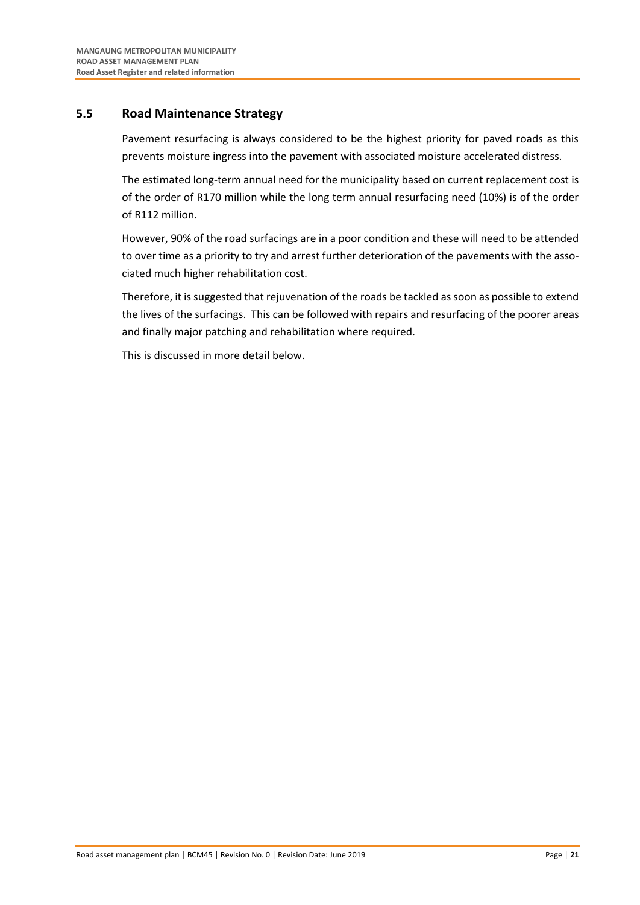## <span id="page-29-0"></span>**5.5 Road Maintenance Strategy**

Pavement resurfacing is always considered to be the highest priority for paved roads as this prevents moisture ingress into the pavement with associated moisture accelerated distress.

The estimated long-term annual need for the municipality based on current replacement cost is of the order of R170 million while the long term annual resurfacing need (10%) is of the order of R112 million.

However, 90% of the road surfacings are in a poor condition and these will need to be attended to over time as a priority to try and arrest further deterioration of the pavements with the associated much higher rehabilitation cost.

Therefore, it is suggested that rejuvenation of the roads be tackled as soon as possible to extend the lives of the surfacings. This can be followed with repairs and resurfacing of the poorer areas and finally major patching and rehabilitation where required.

This is discussed in more detail below.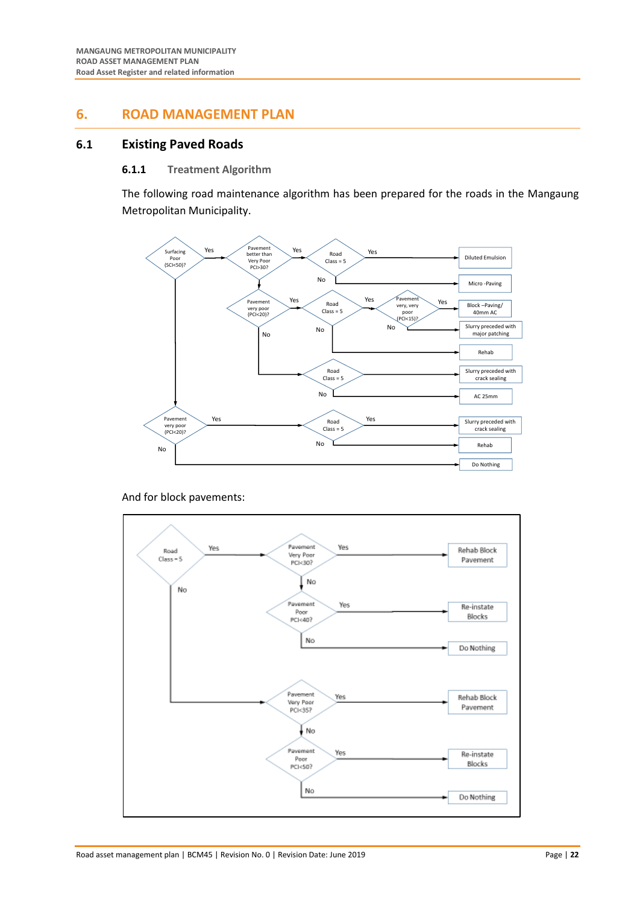## <span id="page-30-0"></span>**6. ROAD MANAGEMENT PLAN**

## <span id="page-30-2"></span><span id="page-30-1"></span>**6.1 Existing Paved Roads**

#### **6.1.1 Treatment Algorithm**

The following road maintenance algorithm has been prepared for the roads in the Mangaung Metropolitan Municipality.



And for block pavements:

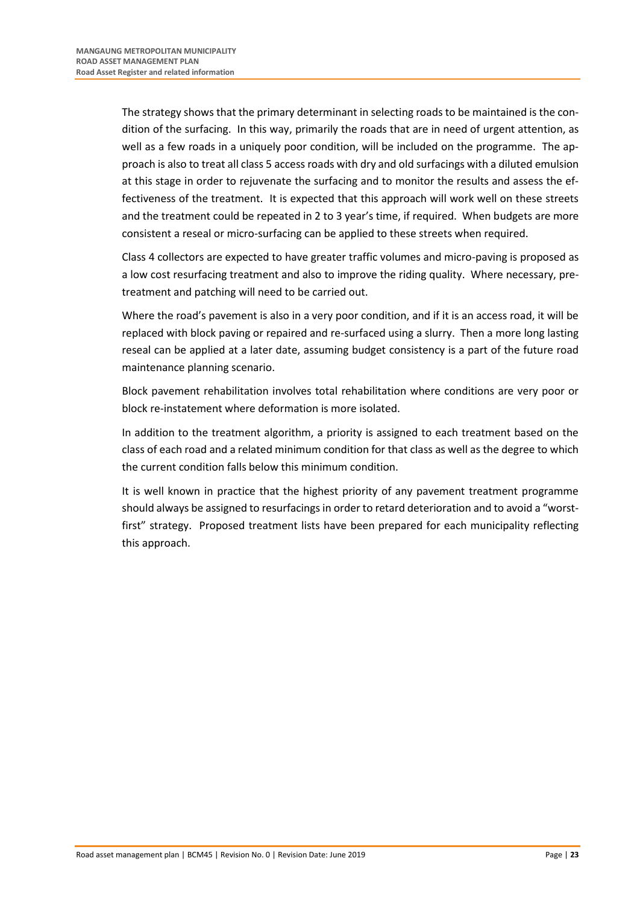The strategy shows that the primary determinant in selecting roads to be maintained is the condition of the surfacing. In this way, primarily the roads that are in need of urgent attention, as well as a few roads in a uniquely poor condition, will be included on the programme. The approach is also to treat all class 5 access roads with dry and old surfacings with a diluted emulsion at this stage in order to rejuvenate the surfacing and to monitor the results and assess the effectiveness of the treatment. It is expected that this approach will work well on these streets and the treatment could be repeated in 2 to 3 year's time, if required. When budgets are more consistent a reseal or micro-surfacing can be applied to these streets when required.

Class 4 collectors are expected to have greater traffic volumes and micro-paving is proposed as a low cost resurfacing treatment and also to improve the riding quality. Where necessary, pretreatment and patching will need to be carried out.

Where the road's pavement is also in a very poor condition, and if it is an access road, it will be replaced with block paving or repaired and re-surfaced using a slurry. Then a more long lasting reseal can be applied at a later date, assuming budget consistency is a part of the future road maintenance planning scenario.

Block pavement rehabilitation involves total rehabilitation where conditions are very poor or block re-instatement where deformation is more isolated.

In addition to the treatment algorithm, a priority is assigned to each treatment based on the class of each road and a related minimum condition for that class as well as the degree to which the current condition falls below this minimum condition.

It is well known in practice that the highest priority of any pavement treatment programme should always be assigned to resurfacings in order to retard deterioration and to avoid a "worstfirst" strategy. Proposed treatment lists have been prepared for each municipality reflecting this approach.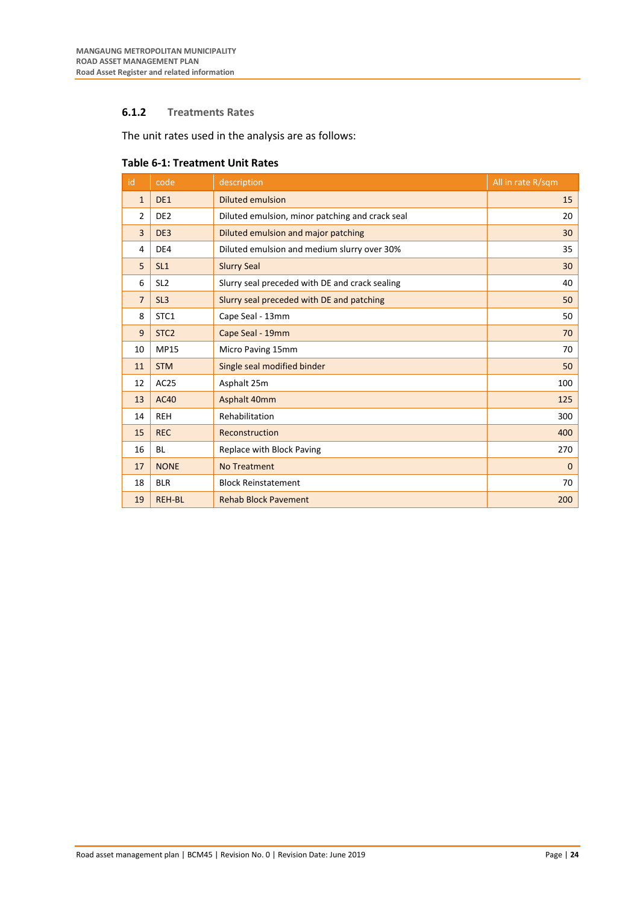## <span id="page-32-0"></span>**6.1.2 Treatments Rates**

The unit rates used in the analysis are as follows:

| id             | code             | description                                     | All in rate R/sqm |
|----------------|------------------|-------------------------------------------------|-------------------|
| $\mathbf{1}$   | DE1              | <b>Diluted emulsion</b>                         | 15                |
| $\overline{2}$ | DE <sub>2</sub>  | Diluted emulsion, minor patching and crack seal | 20                |
| $\overline{3}$ | DE3              | Diluted emulsion and major patching             | 30                |
| 4              | DE4              | Diluted emulsion and medium slurry over 30%     | 35                |
| 5              | SL1              | <b>Slurry Seal</b>                              | 30                |
| 6              | SL <sub>2</sub>  | Slurry seal preceded with DE and crack sealing  | 40                |
| $\overline{7}$ | SL <sub>3</sub>  | Slurry seal preceded with DE and patching       | 50                |
| 8              | STC1             | Cape Seal - 13mm                                | 50                |
| 9              | STC <sub>2</sub> | Cape Seal - 19mm                                | 70                |
| 10             | <b>MP15</b>      | Micro Paving 15mm                               | 70                |
| 11             | <b>STM</b>       | Single seal modified binder                     | 50                |
| 12             | AC25             | Asphalt 25m                                     | 100               |
| 13             | <b>AC40</b>      | Asphalt 40mm                                    | 125               |
| 14             | <b>REH</b>       | Rehabilitation                                  | 300               |
| 15             | <b>REC</b>       | Reconstruction                                  | 400               |
| 16             | <b>BL</b>        | Replace with Block Paving                       | 270               |
| 17             | <b>NONE</b>      | <b>No Treatment</b>                             | $\mathbf{0}$      |
| 18             | <b>BLR</b>       | <b>Block Reinstatement</b>                      | 70                |
| 19             | <b>REH-BL</b>    | <b>Rehab Block Pavement</b>                     | 200               |

#### <span id="page-32-1"></span>**Table 6-1: Treatment Unit Rates**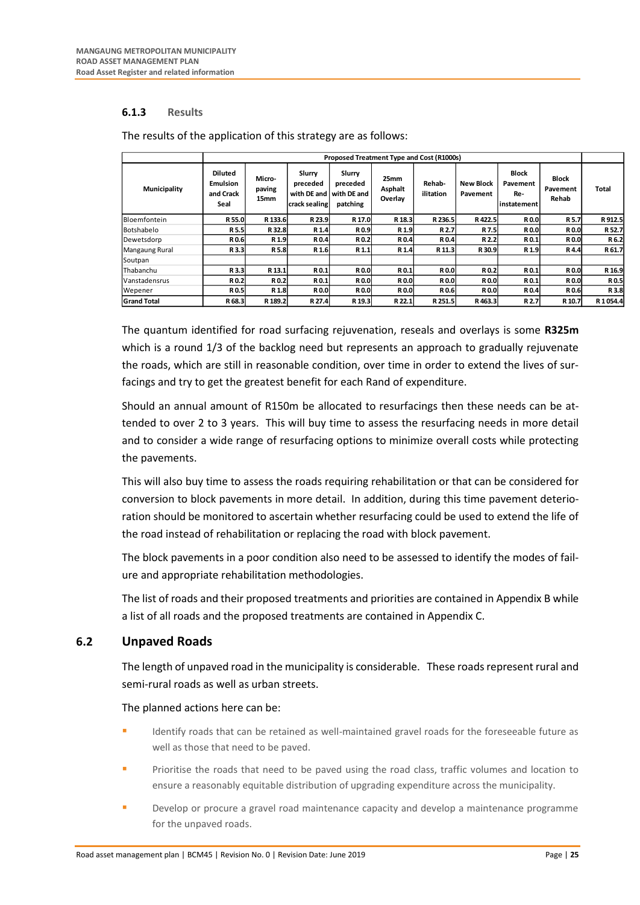## <span id="page-33-0"></span>**6.1.3 Results**

|                     | Proposed Treatment Type and Cost (R1000s)              |                          |                                     |                                                             |                            |                     |                              |                                                |                                   |              |
|---------------------|--------------------------------------------------------|--------------------------|-------------------------------------|-------------------------------------------------------------|----------------------------|---------------------|------------------------------|------------------------------------------------|-----------------------------------|--------------|
| Municipality        | <b>Diluted</b><br><b>Emulsion</b><br>and Crack<br>Seal | Micro-<br>paving<br>15mm | Slurry<br>preceded<br>crack sealing | Slurry<br>preceded<br>with DE and I with DE and<br>patching | 25mm<br>Asphalt<br>Overlay | Rehab-<br>ilitation | <b>New Block</b><br>Pavement | <b>Block</b><br>Pavement<br>Re-<br>instatement | <b>Block</b><br>Pavement<br>Rehab | <b>Total</b> |
| <b>Bloemfontein</b> | R 55.0                                                 | R 133.6                  | R 23.9                              | R 17.0                                                      | R 18.3                     | R 236.5             | R422.5                       | <b>R0.0</b>                                    | R 5.7                             | R 912.5      |
| Botshabelo          | R 5.5                                                  | R 32.8                   | R <sub>1.4</sub>                    | R0.9                                                        | R 1.9                      | R 2.7               | R <sub>7.5</sub>             | <b>R0.0</b>                                    | R0.0                              | R 52.7       |
| l De wetsdorp       | R0.6                                                   | R <sub>1.9</sub>         | R0.4                                | R0.2                                                        | R0.4                       | R0.4                | R 2.2                        | R0.1                                           | <b>R0.0</b>                       | R 6.2        |
| Mangaung Rural      | R 3.3                                                  | R 5.8                    | R <sub>1.6</sub>                    | R <sub>1.1</sub>                                            | R <sub>1.4</sub>           | R 11.3              | R 30.9                       | R <sub>1.9</sub>                               | R4.4                              | R 61.7       |
| Soutpan             |                                                        |                          |                                     |                                                             |                            |                     |                              |                                                |                                   |              |
| lThabanchu          | R3.3                                                   | R 13.1                   | R <sub>0.1</sub>                    | <b>R0.0</b>                                                 | R0.1                       | <b>R0.0</b>         | R 0.2                        | R0.1                                           | R0.0                              | R 16.9       |
| Vanstadensrus       | R0.2                                                   | R 0.2                    | R0.1                                | <b>RO.O</b>                                                 | <b>R0.0</b>                | R 0.0               | R 0.0                        | R0.1                                           | <b>R0.0</b>                       | R 0.5        |
| Wepener             | R0.5                                                   | R 1.8                    | <b>R0.0</b>                         | <b>R0.0</b>                                                 | R0.0                       | R 0.6               | R 0.0                        | R0.4                                           | R0.6                              | R 3.8        |
| <b>Grand Total</b>  | R 68.3                                                 | R 189.2                  | R 27.4                              | R 19.3                                                      | R 22.1                     | R 251.5             | R463.3                       | R 2.7                                          | R 10.7                            | R1054.4      |

The results of the application of this strategy are as follows:

The quantum identified for road surfacing rejuvenation, reseals and overlays is some **R325m** which is a round 1/3 of the backlog need but represents an approach to gradually rejuvenate the roads, which are still in reasonable condition, over time in order to extend the lives of surfacings and try to get the greatest benefit for each Rand of expenditure.

Should an annual amount of R150m be allocated to resurfacings then these needs can be attended to over 2 to 3 years. This will buy time to assess the resurfacing needs in more detail and to consider a wide range of resurfacing options to minimize overall costs while protecting the pavements.

This will also buy time to assess the roads requiring rehabilitation or that can be considered for conversion to block pavements in more detail. In addition, during this time pavement deterioration should be monitored to ascertain whether resurfacing could be used to extend the life of the road instead of rehabilitation or replacing the road with block pavement.

The block pavements in a poor condition also need to be assessed to identify the modes of failure and appropriate rehabilitation methodologies.

The list of roads and their proposed treatments and priorities are contained in Appendix B while a list of all roads and the proposed treatments are contained in Appendix C.

## <span id="page-33-1"></span>**6.2 Unpaved Roads**

The length of unpaved road in the municipality is considerable. These roads represent rural and semi-rural roads as well as urban streets.

The planned actions here can be:

- Identify roads that can be retained as well-maintained gravel roads for the foreseeable future as well as those that need to be paved.
- Prioritise the roads that need to be paved using the road class, traffic volumes and location to ensure a reasonably equitable distribution of upgrading expenditure across the municipality.
- Develop or procure a gravel road maintenance capacity and develop a maintenance programme for the unpaved roads.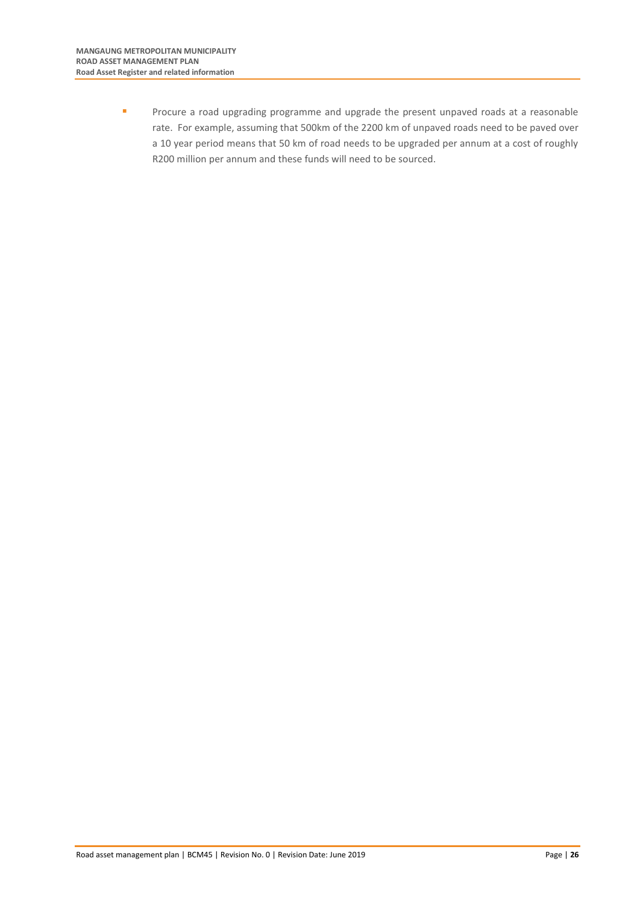**EXECUTE 20** Procure a road upgrading programme and upgrade the present unpaved roads at a reasonable rate. For example, assuming that 500km of the 2200 km of unpaved roads need to be paved over a 10 year period means that 50 km of road needs to be upgraded per annum at a cost of roughly R200 million per annum and these funds will need to be sourced.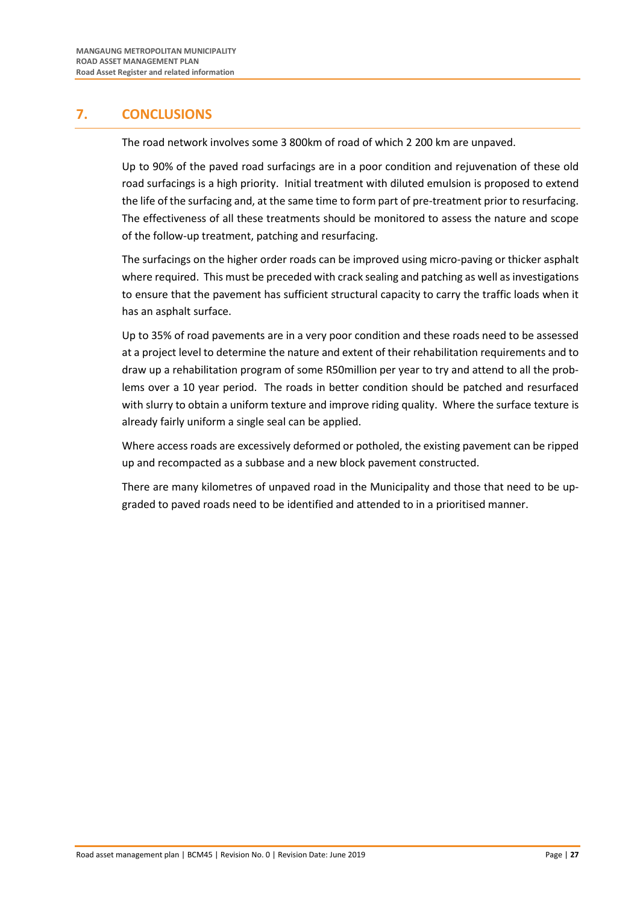## <span id="page-35-0"></span>**7. CONCLUSIONS**

The road network involves some 3 800km of road of which 2 200 km are unpaved.

Up to 90% of the paved road surfacings are in a poor condition and rejuvenation of these old road surfacings is a high priority. Initial treatment with diluted emulsion is proposed to extend the life of the surfacing and, at the same time to form part of pre-treatment prior to resurfacing. The effectiveness of all these treatments should be monitored to assess the nature and scope of the follow-up treatment, patching and resurfacing.

The surfacings on the higher order roads can be improved using micro-paving or thicker asphalt where required. This must be preceded with crack sealing and patching as well as investigations to ensure that the pavement has sufficient structural capacity to carry the traffic loads when it has an asphalt surface.

Up to 35% of road pavements are in a very poor condition and these roads need to be assessed at a project level to determine the nature and extent of their rehabilitation requirements and to draw up a rehabilitation program of some R50million per year to try and attend to all the problems over a 10 year period. The roads in better condition should be patched and resurfaced with slurry to obtain a uniform texture and improve riding quality. Where the surface texture is already fairly uniform a single seal can be applied.

Where access roads are excessively deformed or potholed, the existing pavement can be ripped up and recompacted as a subbase and a new block pavement constructed.

There are many kilometres of unpaved road in the Municipality and those that need to be upgraded to paved roads need to be identified and attended to in a prioritised manner.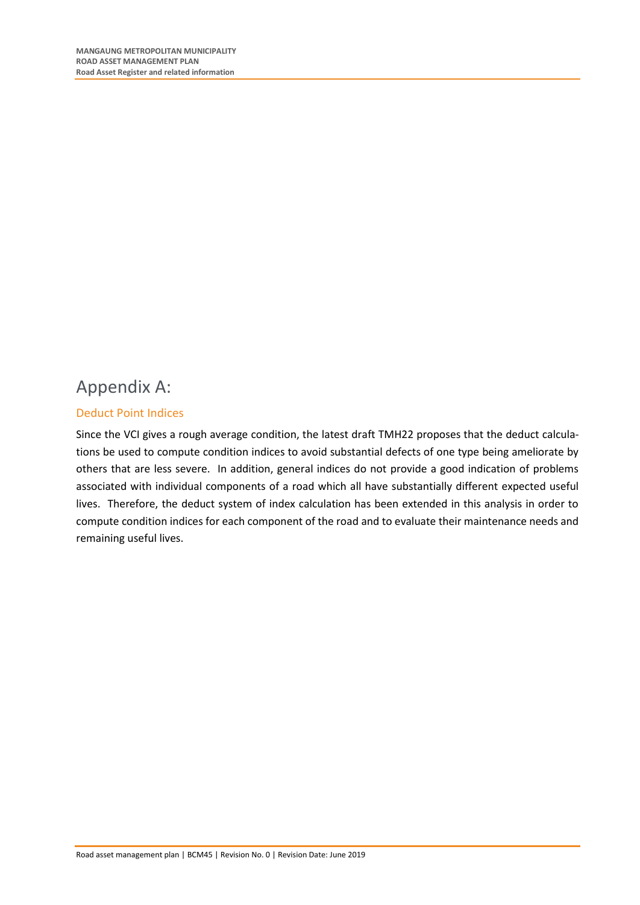## <span id="page-36-0"></span>Appendix A:

## <span id="page-36-1"></span>Deduct Point Indices

Since the VCI gives a rough average condition, the latest draft TMH22 proposes that the deduct calculations be used to compute condition indices to avoid substantial defects of one type being ameliorate by others that are less severe. In addition, general indices do not provide a good indication of problems associated with individual components of a road which all have substantially different expected useful lives. Therefore, the deduct system of index calculation has been extended in this analysis in order to compute condition indices for each component of the road and to evaluate their maintenance needs and remaining useful lives.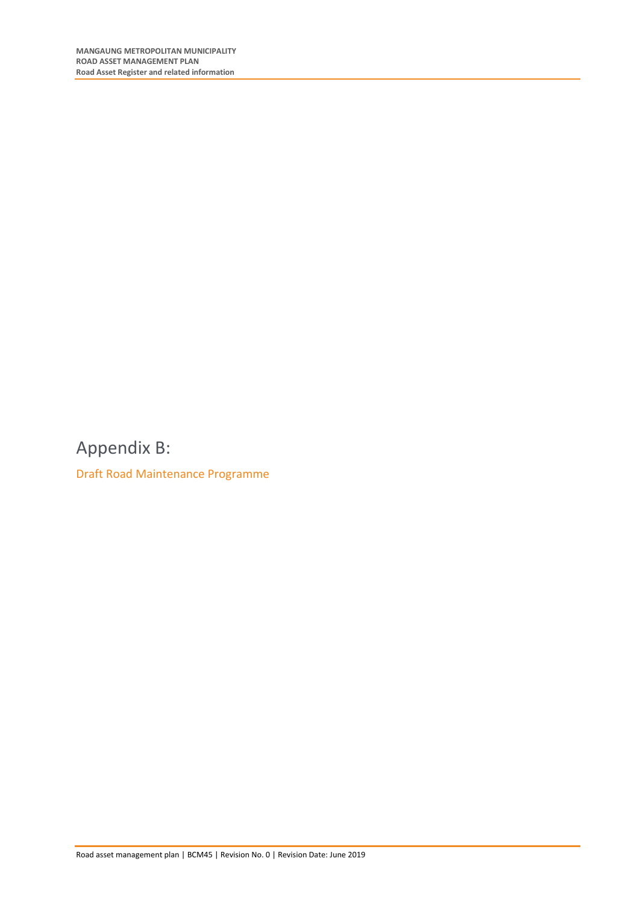<span id="page-37-0"></span>Appendix B:

<span id="page-37-1"></span>Draft Road Maintenance Programme